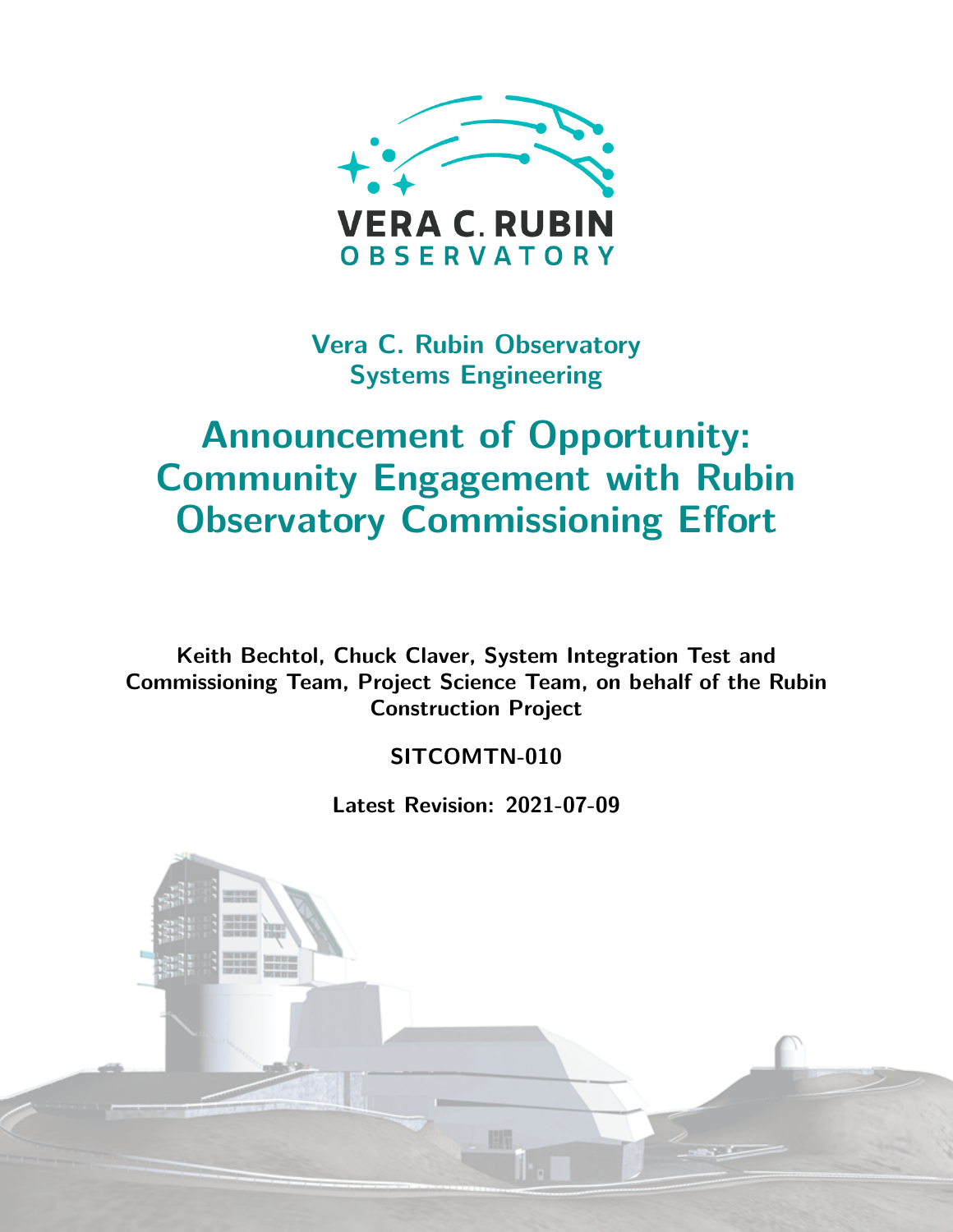

**Vera C. Rubin Observatory Systems Engineering**

# **Announcement of Opportunity: Community Engagement with Rubin Observatory Commissioning Effort**

**Keith Bechtol, Chuck Claver, System Integration Test and Commissioning Team, Project Science Team, on behalf of the Rubin Construction Project**

**SITCOMTN-010**

**Latest Revision: 2021-07-09**

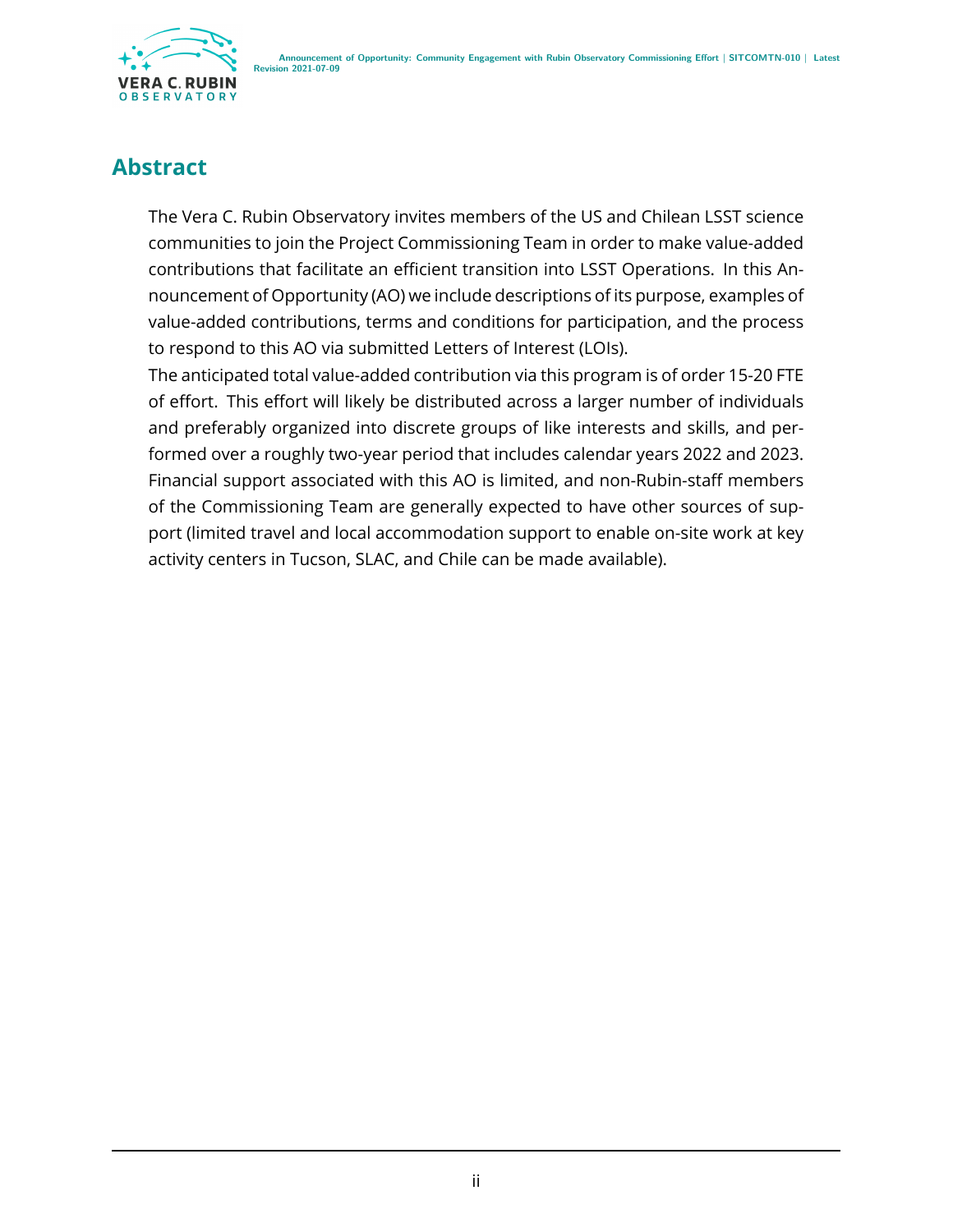

### **Abstract**

The Vera C. Rubin Observatory invites members of the US and Chilean LSST science communities to join the Project Commissioning Team in order to make value-added contributions that facilitate an efficient transition into LSST Operations. In this Announcement of Opportunity (AO) we include descriptions of its purpose, examples of value-added contributions, terms and conditions for participation, and the process to respond to this AO via submitted Letters of Interest (LOIs).

The anticipated total value-added contribution via this program is of order 15-20 FTE of effort. This effort will likely be distributed across a larger number of individuals and preferably organized into discrete groups of like interests and skills, and performed over a roughly two-year period that includes calendar years 2022 and 2023. Financial support associated with this AO is limited, and non-Rubin-staff members of the Commissioning Team are generally expected to have other sources of support (limited travel and local accommodation support to enable on-site work at key activity centers in Tucson, SLAC, and Chile can be made available).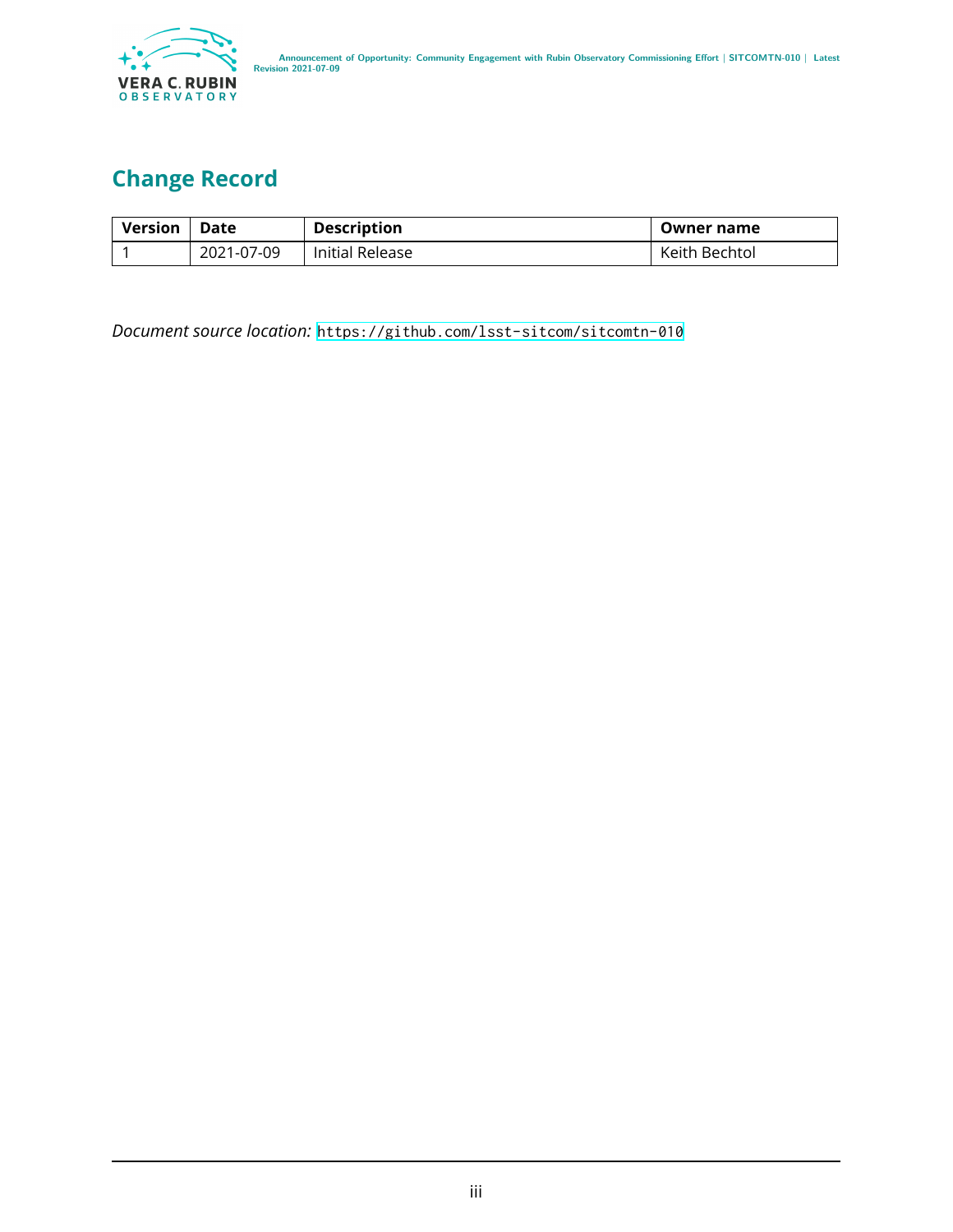

# **Change Record**

| <b>Version</b> | Date       | <b>Description</b> | Owner name    |
|----------------|------------|--------------------|---------------|
|                | 2021-07-09 | Initial Release    | Keith Bechtol |

*Document source location:* <https://github.com/lsst-sitcom/sitcomtn-010>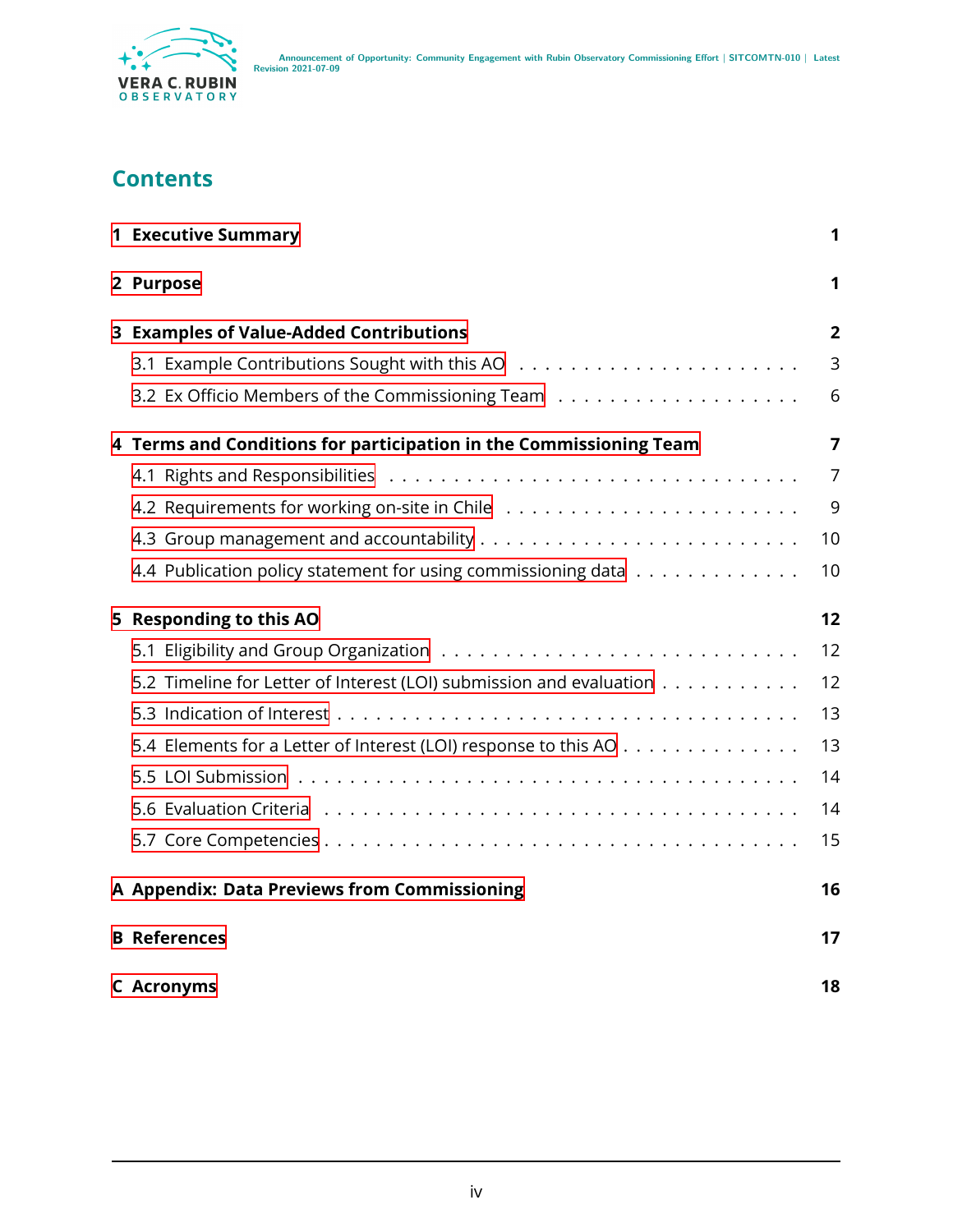

### **Contents**

| <b>1 Executive Summary</b>                                          | 1              |
|---------------------------------------------------------------------|----------------|
| 2 Purpose                                                           | 1              |
| 3 Examples of Value-Added Contributions                             | 2              |
|                                                                     | 3              |
|                                                                     | 6              |
| 4 Terms and Conditions for participation in the Commissioning Team  | 7              |
|                                                                     | $\overline{7}$ |
|                                                                     | 9              |
|                                                                     | 10             |
| 4.4 Publication policy statement for using commissioning data       | 10             |
| 5 Responding to this AO                                             | 12             |
|                                                                     | 12             |
| 5.2 Timeline for Letter of Interest (LOI) submission and evaluation | 12             |
|                                                                     | 13             |
| 5.4 Elements for a Letter of Interest (LOI) response to this AO     | 13             |
|                                                                     | 14             |
|                                                                     | 14             |
|                                                                     | 15             |
| A Appendix: Data Previews from Commissioning                        | 16             |
| <b>B</b> References                                                 | 17             |
| <b>C</b> Acronyms                                                   | 18             |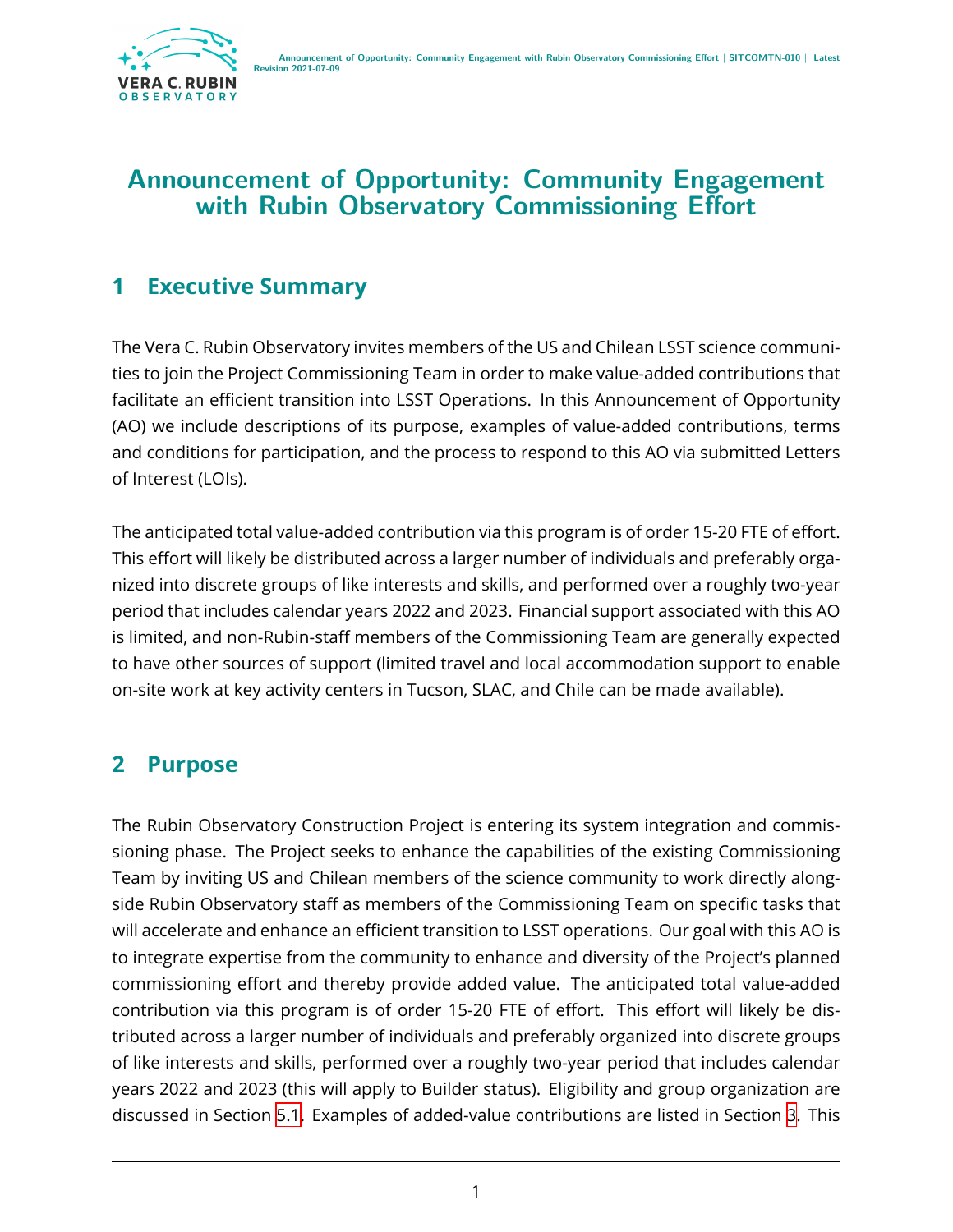

### **Announcement of Opportunity: Community Engagement with Rubin Observatory Commissioning Effort**

### <span id="page-4-0"></span>**1 Executive Summary**

The Vera C. Rubin Observatory invites members of the US and Chilean LSST science communities to join the Project Commissioning Team in order to make value-added contributions that facilitate an efficient transition into LSST Operations. In this Announcement of Opportunity (AO) we include descriptions of its purpose, examples of value-added contributions, terms and conditions for participation, and the process to respond to this AO via submitted Letters of Interest (LOIs).

The anticipated total value-added contribution via this program is of order 15-20 FTE of effort. This effort will likely be distributed across a larger number of individuals and preferably organized into discrete groups of like interests and skills, and performed over a roughly two-year period that includes calendar years 2022 and 2023. Financial support associated with this AO is limited, and non-Rubin-staff members of the Commissioning Team are generally expected to have other sources of support (limited travel and local accommodation support to enable on-site work at key activity centers in Tucson, SLAC, and Chile can be made available).

# <span id="page-4-1"></span>**2 Purpose**

The Rubin Observatory Construction Project is entering its system integration and commissioning phase. The Project seeks to enhance the capabilities of the existing Commissioning Team by inviting US and Chilean members of the science community to work directly alongside Rubin Observatory staff as members of the Commissioning Team on specific tasks that will accelerate and enhance an efficient transition to LSST operations. Our goal with this AO is to integrate expertise from the community to enhance and diversity of the Project's planned commissioning effort and thereby provide added value. The anticipated total value-added contribution via this program is of order 15-20 FTE of effort. This effort will likely be distributed across a larger number of individuals and preferably organized into discrete groups of like interests and skills, performed over a roughly two-year period that includes calendar years 2022 and 2023 (this will apply to Builder status). Eligibility and group organization are discussed in Section [5.1](#page-15-1). Examples of added-value contributions are listed in Section [3.](#page-5-0) This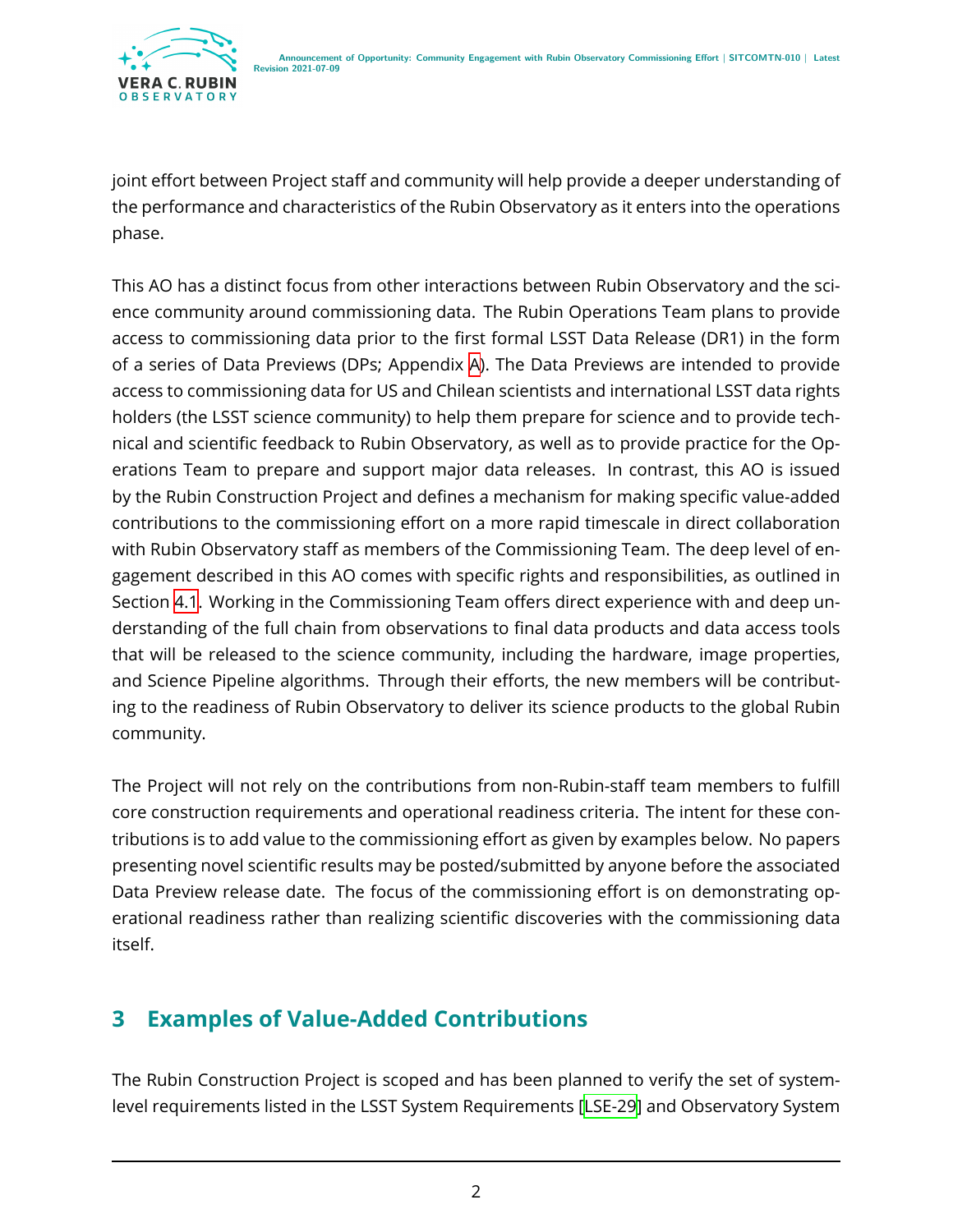joint effort between Project staff and community will help provide a deeper understanding of the performance and characteristics of the Rubin Observatory as it enters into the operations phase.

This AO has a distinct focus from other interactions between Rubin Observatory and the science community around commissioning data. The Rubin Operations Team plans to provide access to commissioning data prior to the first formal LSST Data Release (DR1) in the form of a series of Data Previews (DPs; Appendix [A\)](#page-19-0). The Data Previews are intended to provide access to commissioning data for US and Chilean scientists and international LSST data rights holders (the LSST science community) to help them prepare for science and to provide technical and scientific feedback to Rubin Observatory, as well as to provide practice for the Operations Team to prepare and support major data releases. In contrast, this AO is issued by the Rubin Construction Project and defines a mechanism for making specific value-added contributions to the commissioning effort on a more rapid timescale in direct collaboration with Rubin Observatory staff as members of the Commissioning Team. The deep level of engagement described in this AO comes with specific rights and responsibilities, as outlined in Section [4.1](#page-10-1). Working in the Commissioning Team offers direct experience with and deep understanding of the full chain from observations to final data products and data access tools that will be released to the science community, including the hardware, image properties, and Science Pipeline algorithms. Through their efforts, the new members will be contributing to the readiness of Rubin Observatory to deliver its science products to the global Rubin community.

The Project will not rely on the contributions from non-Rubin-staff team members to fulfill core construction requirements and operational readiness criteria. The intent for these contributions is to add value to the commissioning effort as given by examples below. No papers presenting novel scientific results may be posted/submitted by anyone before the associated Data Preview release date. The focus of the commissioning effort is on demonstrating operational readiness rather than realizing scientific discoveries with the commissioning data itself.

# <span id="page-5-0"></span>**3 Examples of Value-Added Contributions**

The Rubin Construction Project is scoped and has been planned to verify the set of systemlevel requirements listed in the LSST System Requirements [\[LSE-29](#page-21-1)] and Observatory System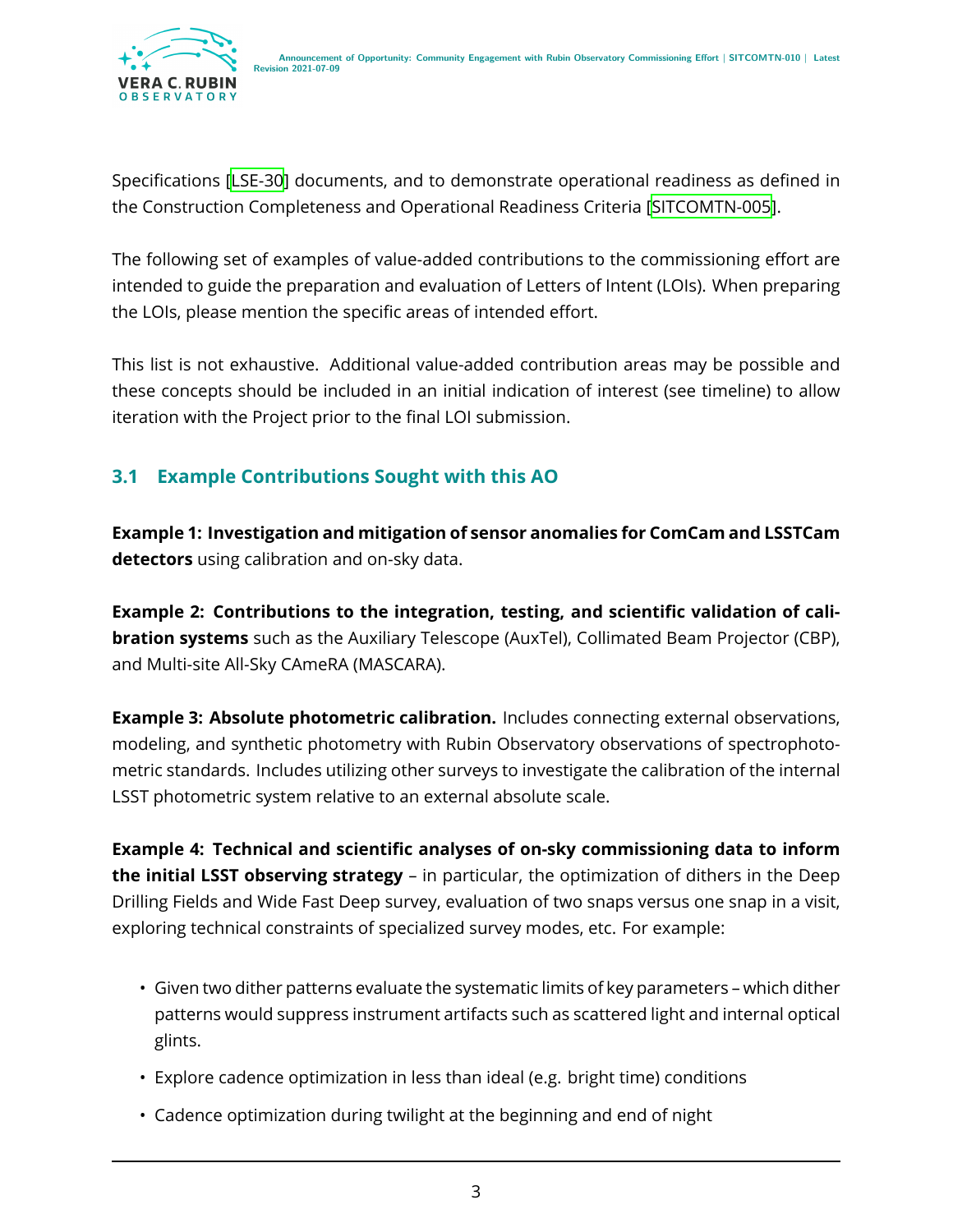Specifications[[LSE-30](#page-21-2)] documents, and to demonstrate operational readiness as defined in the Construction Completeness and Operational Readiness Criteria[[SITCOMTN-005\]](#page-21-3).

The following set of examples of value-added contributions to the commissioning effort are intended to guide the preparation and evaluation of Letters of Intent (LOIs). When preparing the LOIs, please mention the specific areas of intended effort.

This list is not exhaustive. Additional value-added contribution areas may be possible and these concepts should be included in an initial indication of interest (see timeline) to allow iteration with the Project prior to the final LOI submission.

#### <span id="page-6-0"></span>**3.1 Example Contributions Sought with this AO**

**Example 1: Investigation and mitigation of sensor anomalies for ComCam and LSSTCam detectors** using calibration and on-sky data.

**Example 2: Contributions to the integration, testing, and scientific validation of calibration systems** such as the Auxiliary Telescope (AuxTel), Collimated Beam Projector (CBP), and Multi-site All-Sky CAmeRA (MASCARA).

**Example 3: Absolute photometric calibration.** Includes connecting external observations, modeling, and synthetic photometry with Rubin Observatory observations of spectrophotometric standards. Includes utilizing other surveys to investigate the calibration of the internal LSST photometric system relative to an external absolute scale.

**Example 4: Technical and scientific analyses of on-sky commissioning data to inform the initial LSST observing strategy** – in particular, the optimization of dithers in the Deep Drilling Fields and Wide Fast Deep survey, evaluation of two snaps versus one snap in a visit, exploring technical constraints of specialized survey modes, etc. For example:

- Given two dither patterns evaluate the systematic limits of key parameters which dither patterns would suppress instrument artifacts such as scattered light and internal optical glints.
- Explore cadence optimization in less than ideal (e.g. bright time) conditions
- Cadence optimization during twilight at the beginning and end of night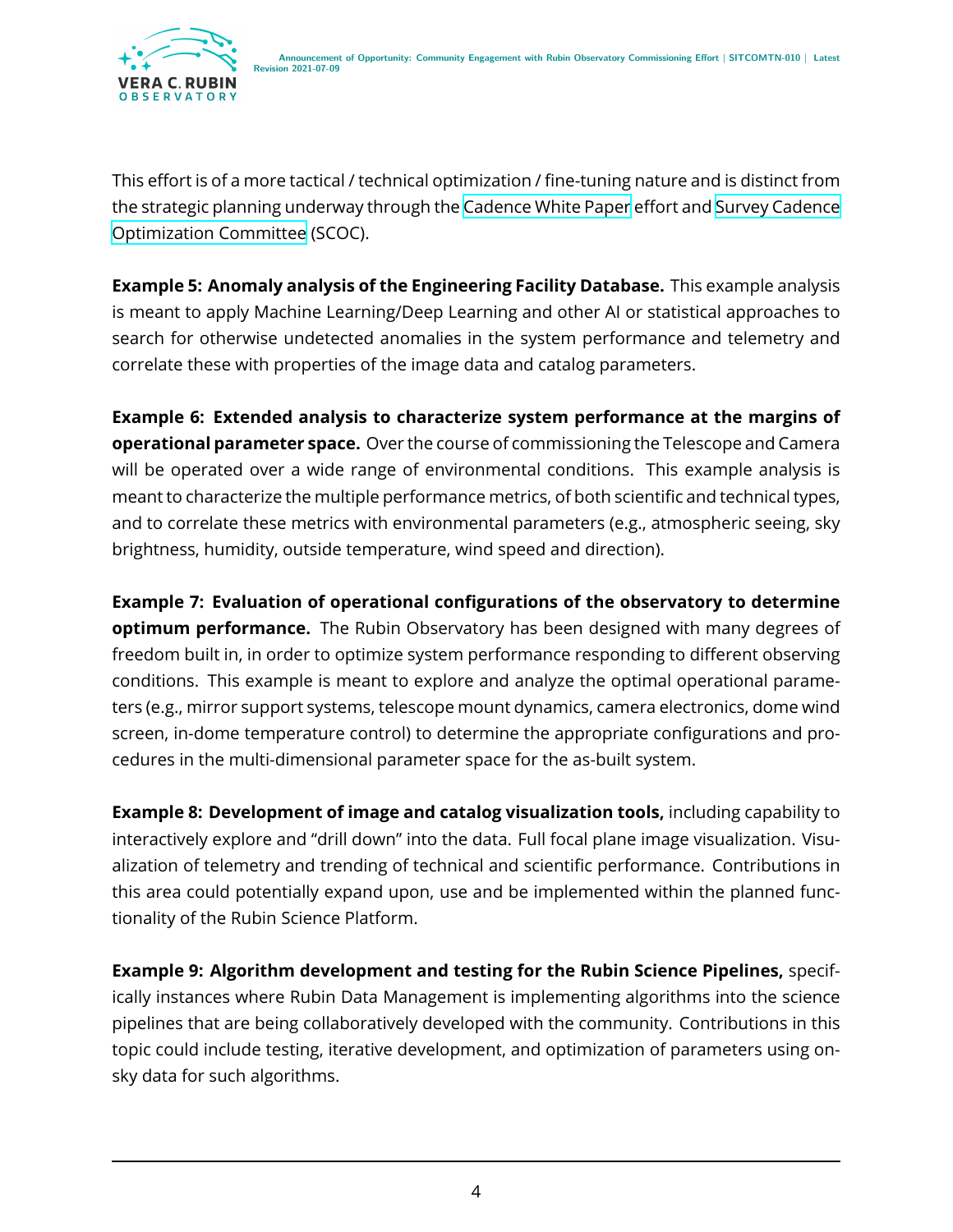

This effort is of a more tactical / technical optimization / fine-tuning nature and is distinct from the strategic planning underway through the [Cadence White Paper](https://www.lsst.org/content/survey-cadence-notes-2021) effort and [Survey Cadence](https://www.lsst.org/content/charge-survey-cadence-optimization-committee-scoc) [Optimization Committee](https://www.lsst.org/content/charge-survey-cadence-optimization-committee-scoc) (SCOC).

**Example 5: Anomaly analysis of the Engineering Facility Database.** This example analysis is meant to apply Machine Learning/Deep Learning and other AI or statistical approaches to search for otherwise undetected anomalies in the system performance and telemetry and correlate these with properties of the image data and catalog parameters.

**Example 6: Extended analysis to characterize system performance at the margins of operational parameter space.** Over the course of commissioning the Telescope and Camera will be operated over a wide range of environmental conditions. This example analysis is meant to characterize the multiple performance metrics, of both scientific and technical types, and to correlate these metrics with environmental parameters (e.g., atmospheric seeing, sky brightness, humidity, outside temperature, wind speed and direction).

**Example 7: Evaluation of operational configurations of the observatory to determine optimum performance.** The Rubin Observatory has been designed with many degrees of freedom built in, in order to optimize system performance responding to different observing conditions. This example is meant to explore and analyze the optimal operational parameters (e.g., mirror support systems, telescope mount dynamics, camera electronics, dome wind screen, in-dome temperature control) to determine the appropriate configurations and procedures in the multi-dimensional parameter space for the as-built system.

**Example 8: Development of image and catalog visualization tools,** including capability to interactively explore and "drill down" into the data. Full focal plane image visualization. Visualization of telemetry and trending of technical and scientific performance. Contributions in this area could potentially expand upon, use and be implemented within the planned functionality of the Rubin Science Platform.

**Example 9: Algorithm development and testing for the Rubin Science Pipelines,** specifically instances where Rubin Data Management is implementing algorithms into the science pipelines that are being collaboratively developed with the community. Contributions in this topic could include testing, iterative development, and optimization of parameters using onsky data for such algorithms.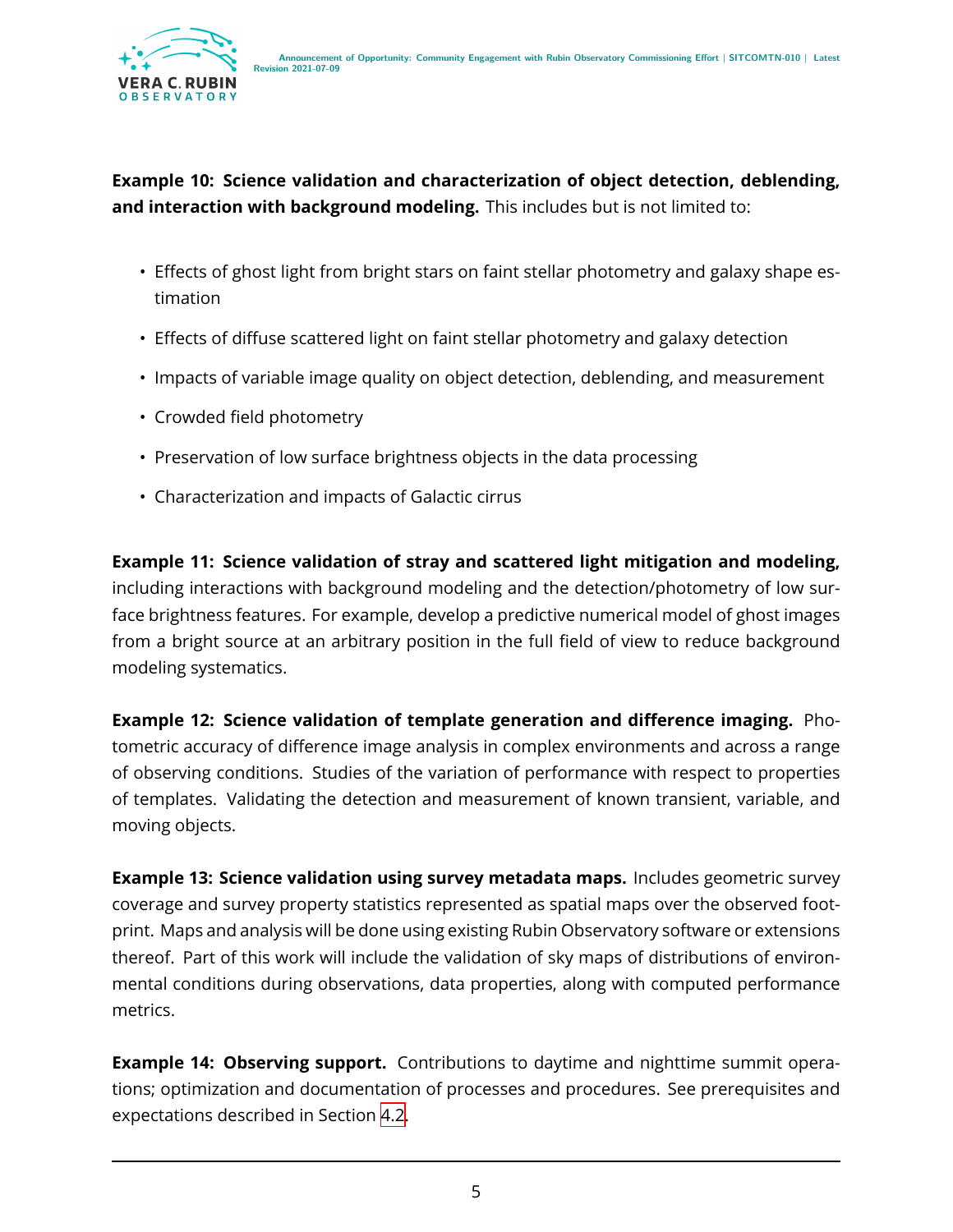

**Example 10: Science validation and characterization of object detection, deblending, and interaction with background modeling.** This includes but is not limited to:

- Effects of ghost light from bright stars on faint stellar photometry and galaxy shape estimation
- Effects of diffuse scattered light on faint stellar photometry and galaxy detection
- Impacts of variable image quality on object detection, deblending, and measurement
- Crowded field photometry
- Preservation of low surface brightness objects in the data processing
- Characterization and impacts of Galactic cirrus

**Example 11: Science validation of stray and scattered light mitigation and modeling,** including interactions with background modeling and the detection/photometry of low surface brightness features. For example, develop a predictive numerical model of ghost images from a bright source at an arbitrary position in the full field of view to reduce background modeling systematics.

**Example 12: Science validation of template generation and difference imaging.** Photometric accuracy of difference image analysis in complex environments and across a range of observing conditions. Studies of the variation of performance with respect to properties of templates. Validating the detection and measurement of known transient, variable, and moving objects.

**Example 13: Science validation using survey metadata maps.** Includes geometric survey coverage and survey property statistics represented as spatial maps over the observed footprint. Maps and analysis will be done using existing Rubin Observatory software or extensions thereof. Part of this work will include the validation of sky maps of distributions of environmental conditions during observations, data properties, along with computed performance metrics.

**Example 14: Observing support.** Contributions to daytime and nighttime summit operations; optimization and documentation of processes and procedures. See prerequisites and expectations described in Section [4.2](#page-12-0).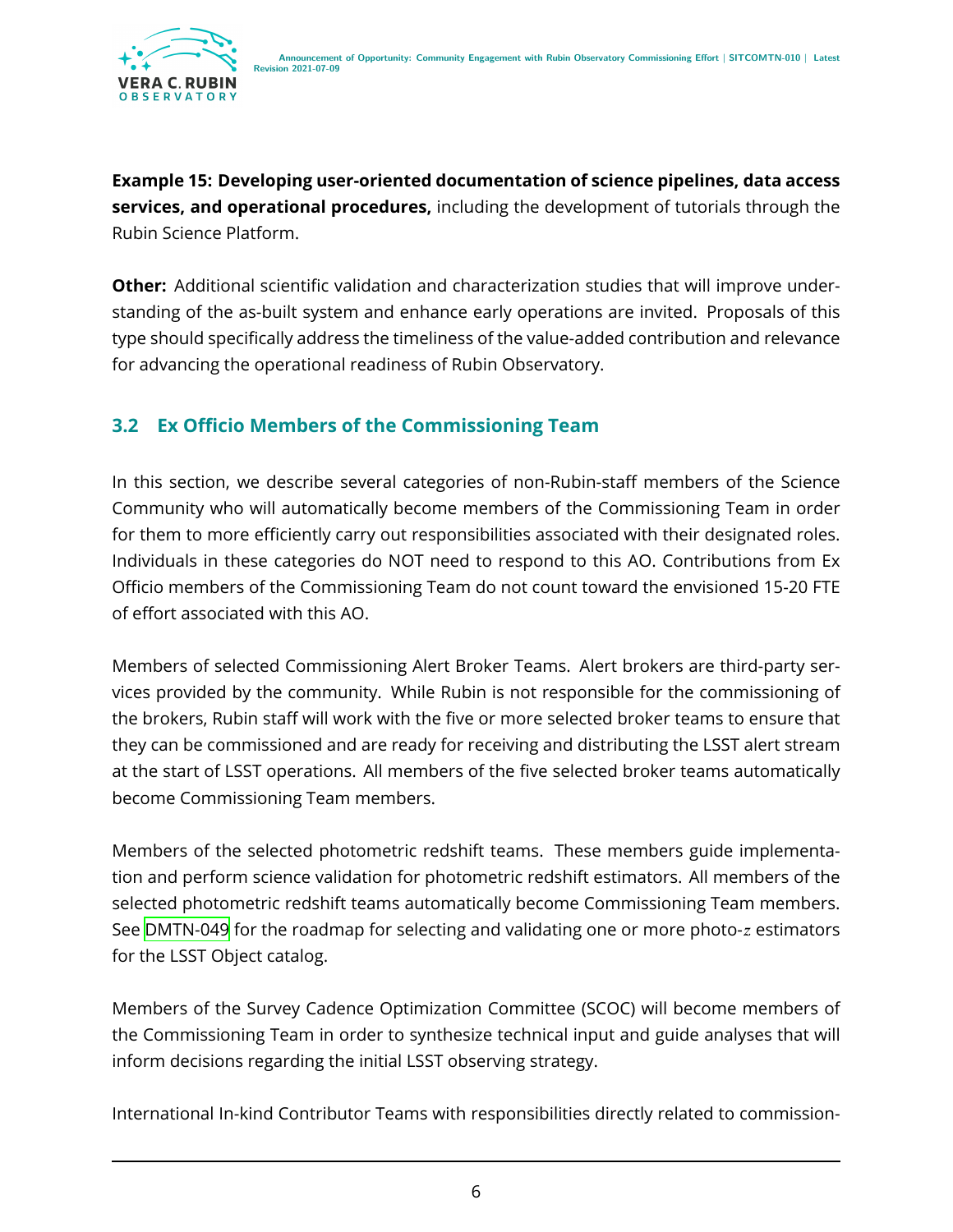**Example 15: Developing user-oriented documentation of science pipelines, data access services, and operational procedures,** including the development of tutorials through the Rubin Science Platform.

**Other:** Additional scientific validation and characterization studies that will improve understanding of the as-built system and enhance early operations are invited. Proposals of this type should specifically address the timeliness of the value-added contribution and relevance for advancing the operational readiness of Rubin Observatory.

#### <span id="page-9-0"></span>**3.2 Ex Officio Members of the Commissioning Team**

In this section, we describe several categories of non-Rubin-staff members of the Science Community who will automatically become members of the Commissioning Team in order for them to more efficiently carry out responsibilities associated with their designated roles. Individuals in these categories do NOT need to respond to this AO. Contributions from Ex Officio members of the Commissioning Team do not count toward the envisioned 15-20 FTE of effort associated with this AO.

Members of selected Commissioning Alert Broker Teams. Alert brokers are third-party services provided by the community. While Rubin is not responsible for the commissioning of the brokers, Rubin staff will work with the five or more selected broker teams to ensure that they can be commissioned and are ready for receiving and distributing the LSST alert stream at the start of LSST operations. All members of the five selected broker teams automatically become Commissioning Team members.

Members of the selected photometric redshift teams. These members guide implementation and perform science validation for photometric redshift estimators. All members of the selected photometric redshift teams automatically become Commissioning Team members. See [DMTN-049](#page-21-4) for the roadmap for selecting and validating one or more photo- $z$  estimators for the LSST Object catalog.

Members of the Survey Cadence Optimization Committee (SCOC) will become members of the Commissioning Team in order to synthesize technical input and guide analyses that will inform decisions regarding the initial LSST observing strategy.

International In-kind Contributor Teams with responsibilities directly related to commission-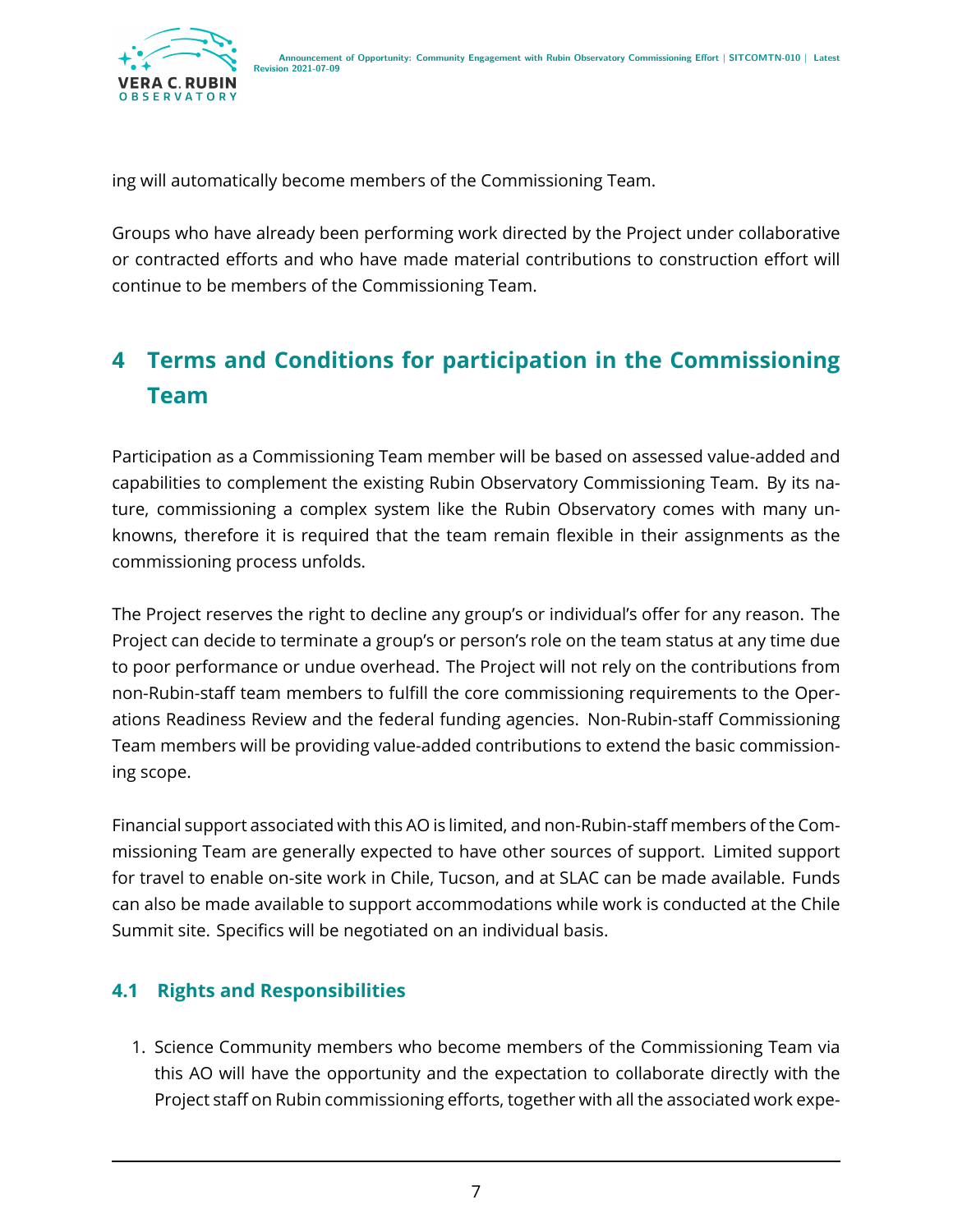

ing will automatically become members of the Commissioning Team.

Groups who have already been performing work directed by the Project under collaborative or contracted efforts and who have made material contributions to construction effort will continue to be members of the Commissioning Team.

# <span id="page-10-0"></span>**4 Terms and Conditions for participation in the Commissioning Team**

Participation as a Commissioning Team member will be based on assessed value-added and capabilities to complement the existing Rubin Observatory Commissioning Team. By its nature, commissioning a complex system like the Rubin Observatory comes with many unknowns, therefore it is required that the team remain flexible in their assignments as the commissioning process unfolds.

The Project reserves the right to decline any group's or individual's offer for any reason. The Project can decide to terminate a group's or person's role on the team status at any time due to poor performance or undue overhead. The Project will not rely on the contributions from non-Rubin-staff team members to fulfill the core commissioning requirements to the Operations Readiness Review and the federal funding agencies. Non-Rubin-staff Commissioning Team members will be providing value-added contributions to extend the basic commissioning scope.

Financial support associated with this AO is limited, and non-Rubin-staff members of the Commissioning Team are generally expected to have other sources of support. Limited support for travel to enable on-site work in Chile, Tucson, and at SLAC can be made available. Funds can also be made available to support accommodations while work is conducted at the Chile Summit site. Specifics will be negotiated on an individual basis.

#### <span id="page-10-1"></span>**4.1 Rights and Responsibilities**

1. Science Community members who become members of the Commissioning Team via this AO will have the opportunity and the expectation to collaborate directly with the Project staff on Rubin commissioning efforts, together with all the associated work expe-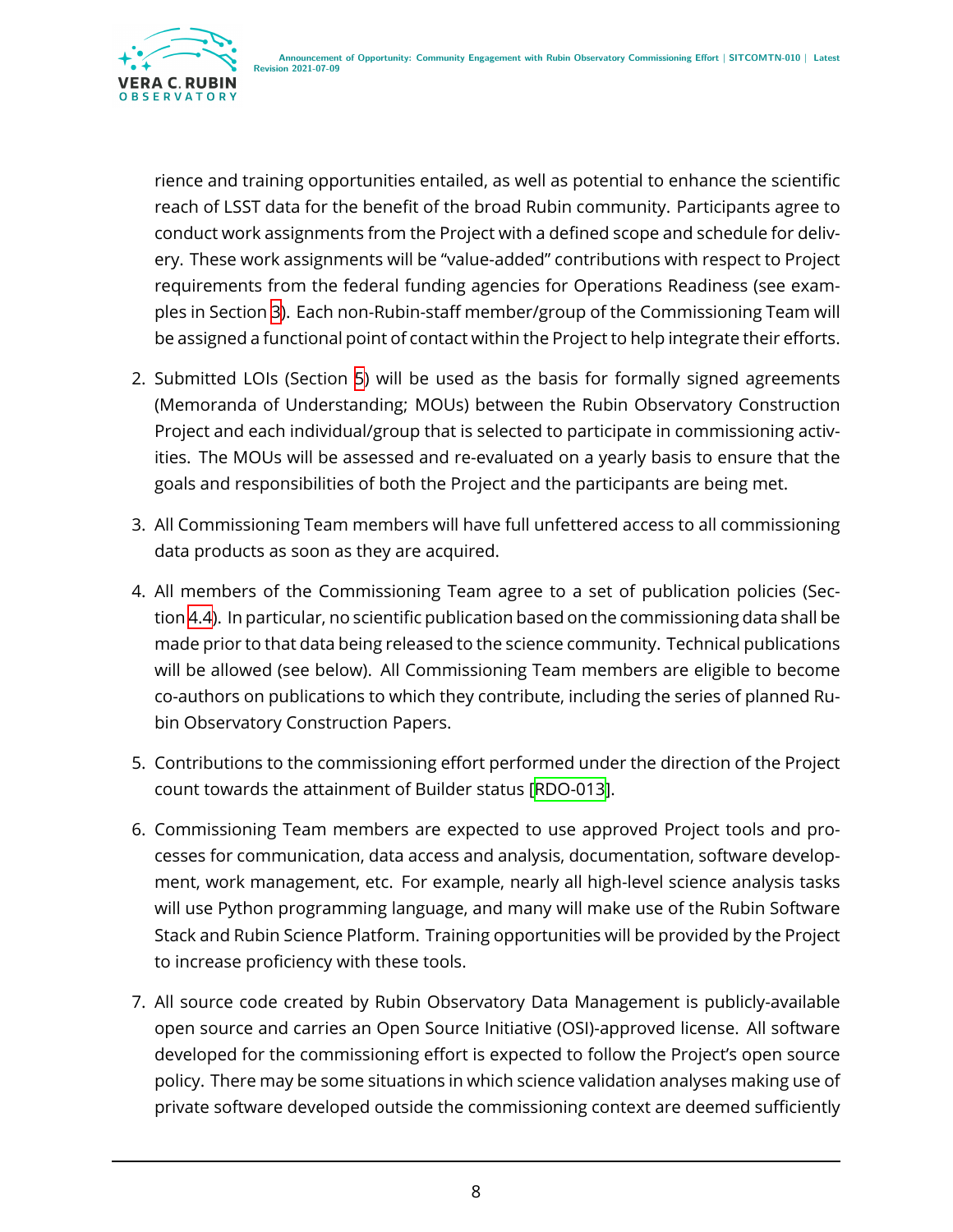

rience and training opportunities entailed, as well as potential to enhance the scientific reach of LSST data for the benefit of the broad Rubin community. Participants agree to conduct work assignments from the Project with a defined scope and schedule for delivery. These work assignments will be "value-added" contributions with respect to Project requirements from the federal funding agencies for Operations Readiness (see examples in Section [3\)](#page-5-0). Each non-Rubin-staff member/group of the Commissioning Team will be assigned a functional point of contact within the Project to help integrate their efforts.

- 2. Submitted LOIs (Section [5](#page-15-0)) will be used as the basis for formally signed agreements (Memoranda of Understanding; MOUs) between the Rubin Observatory Construction Project and each individual/group that is selected to participate in commissioning activities. The MOUs will be assessed and re-evaluated on a yearly basis to ensure that the goals and responsibilities of both the Project and the participants are being met.
- 3. All Commissioning Team members will have full unfettered access to all commissioning data products as soon as they are acquired.
- 4. All members of the Commissioning Team agree to a set of publication policies (Section [4.4\)](#page-13-1). In particular, no scientific publication based on the commissioning data shall be made prior to that data being released to the science community. Technical publications will be allowed (see below). All Commissioning Team members are eligible to become co-authors on publications to which they contribute, including the series of planned Rubin Observatory Construction Papers.
- 5. Contributions to the commissioning effort performed under the direction of the Project count towards the attainment of Builder status[[RDO-013\]](#page-20-1).
- 6. Commissioning Team members are expected to use approved Project tools and processes for communication, data access and analysis, documentation, software development, work management, etc. For example, nearly all high-level science analysis tasks will use Python programming language, and many will make use of the Rubin Software Stack and Rubin Science Platform. Training opportunities will be provided by the Project to increase proficiency with these tools.
- 7. All source code created by Rubin Observatory Data Management is publicly-available open source and carries an Open Source Initiative (OSI)-approved license. All software developed for the commissioning effort is expected to follow the Project's open source policy. There may be some situations in which science validation analyses making use of private software developed outside the commissioning context are deemed sufficiently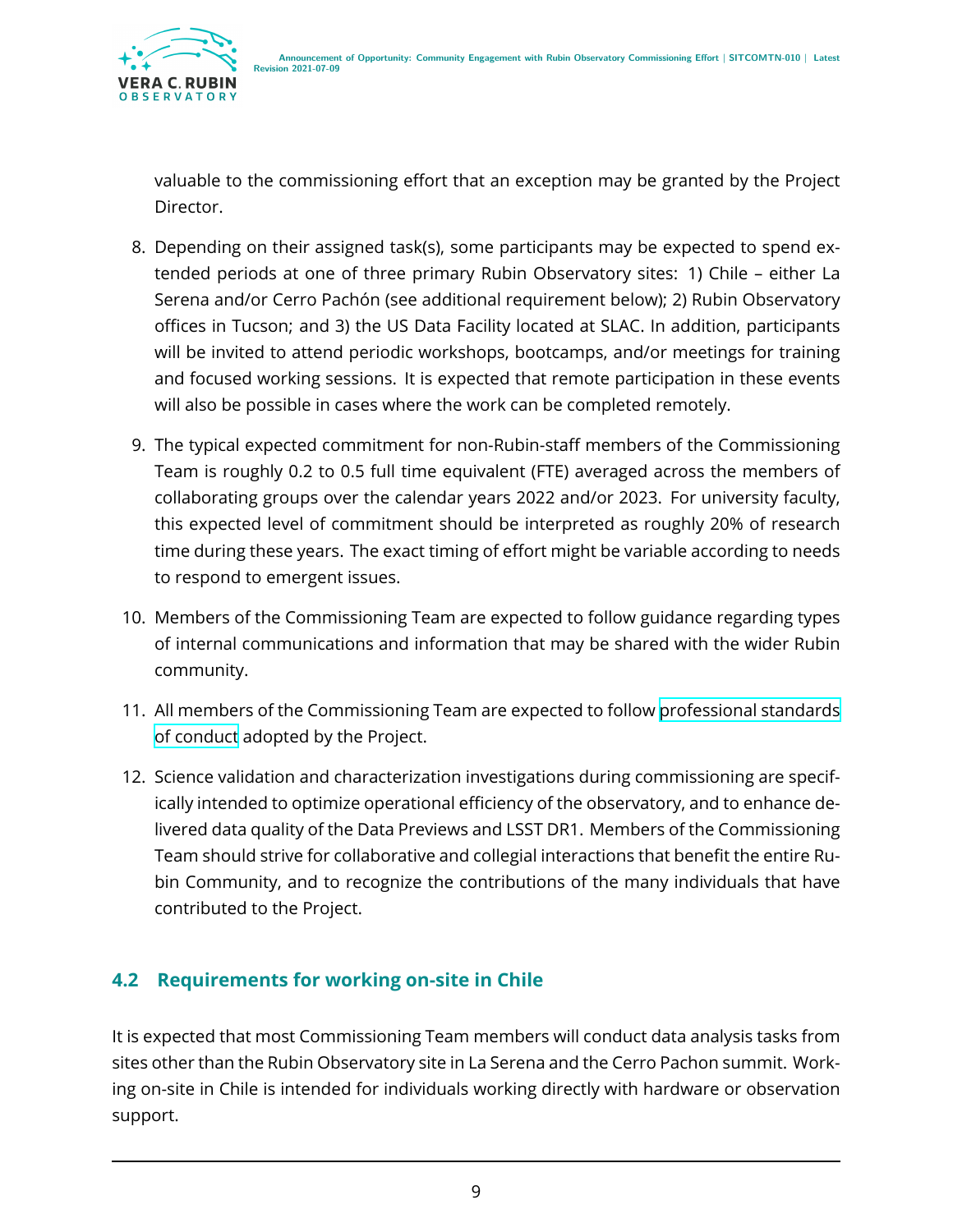

valuable to the commissioning effort that an exception may be granted by the Project Director.

- 8. Depending on their assigned task(s), some participants may be expected to spend extended periods at one of three primary Rubin Observatory sites: 1) Chile – either La Serena and/or Cerro Pachón (see additional requirement below); 2) Rubin Observatory offices in Tucson; and 3) the US Data Facility located at SLAC. In addition, participants will be invited to attend periodic workshops, bootcamps, and/or meetings for training and focused working sessions. It is expected that remote participation in these events will also be possible in cases where the work can be completed remotely.
- 9. The typical expected commitment for non-Rubin-staff members of the Commissioning Team is roughly 0.2 to 0.5 full time equivalent (FTE) averaged across the members of collaborating groups over the calendar years 2022 and/or 2023. For university faculty, this expected level of commitment should be interpreted as roughly 20% of research time during these years. The exact timing of effort might be variable according to needs to respond to emergent issues.
- 10. Members of the Commissioning Team are expected to follow guidance regarding types of internal communications and information that may be shared with the wider Rubin community.
- 11. All members of the Commissioning Team are expected to follow [professional standards](https://www.lsst.org/scientists/codes-of-conduct) [of conduct](https://www.lsst.org/scientists/codes-of-conduct) adopted by the Project.
- 12. Science validation and characterization investigations during commissioning are specifically intended to optimize operational efficiency of the observatory, and to enhance delivered data quality of the Data Previews and LSST DR1. Members of the Commissioning Team should strive for collaborative and collegial interactions that benefit the entire Rubin Community, and to recognize the contributions of the many individuals that have contributed to the Project.

#### <span id="page-12-0"></span>**4.2 Requirements for working on-site in Chile**

It is expected that most Commissioning Team members will conduct data analysis tasks from sites other than the Rubin Observatory site in La Serena and the Cerro Pachon summit. Working on-site in Chile is intended for individuals working directly with hardware or observation support.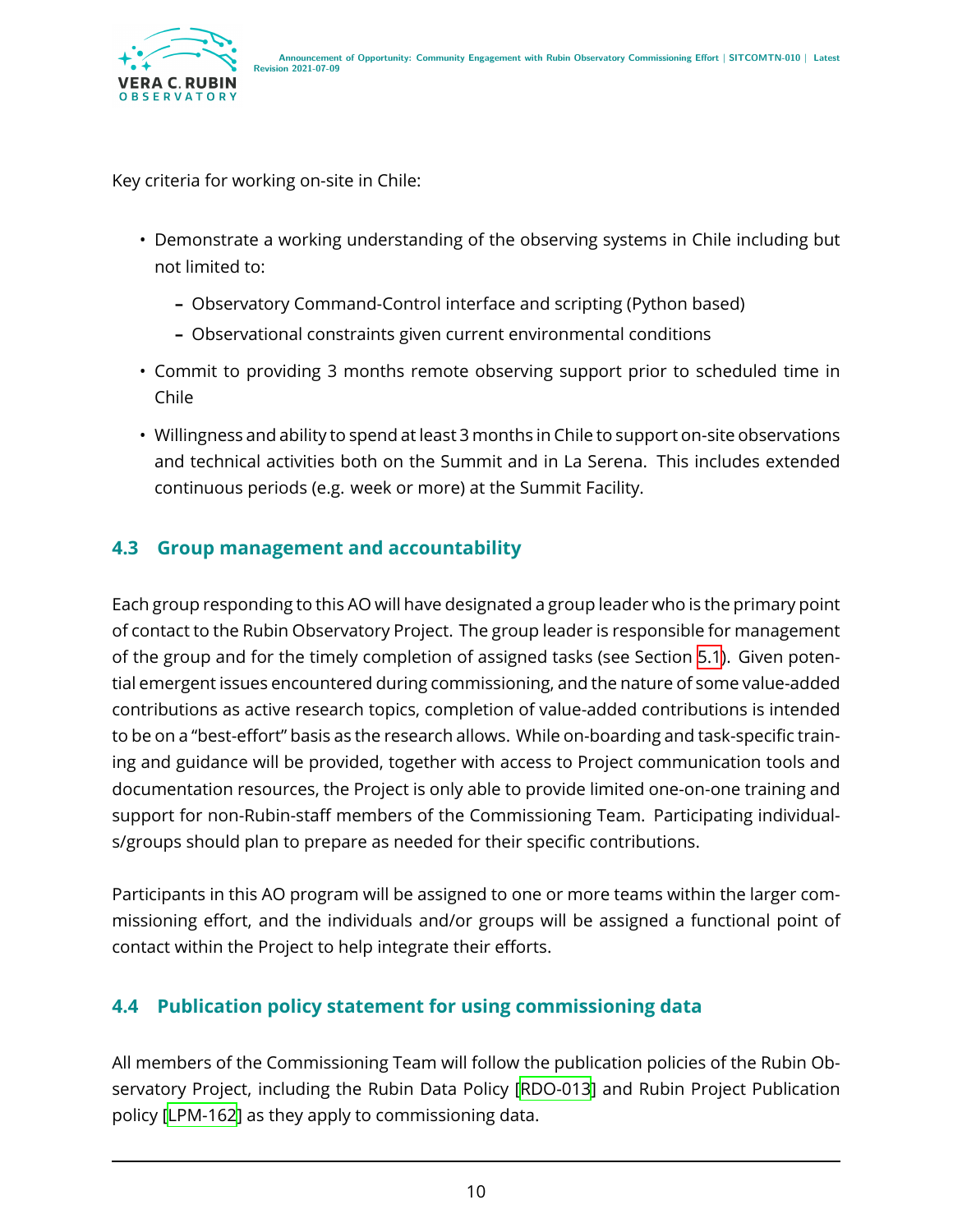

Key criteria for working on-site in Chile:

- Demonstrate a working understanding of the observing systems in Chile including but not limited to:
	- **–** Observatory Command-Control interface and scripting (Python based)
	- **–** Observational constraints given current environmental conditions
- Commit to providing 3 months remote observing support prior to scheduled time in Chile
- Willingness and ability to spend at least 3 months in Chile to support on-site observations and technical activities both on the Summit and in La Serena. This includes extended continuous periods (e.g. week or more) at the Summit Facility.

#### <span id="page-13-0"></span>**4.3 Group management and accountability**

Each group responding to this AO will have designated a group leader who is the primary point of contact to the Rubin Observatory Project. The group leader is responsible for management of the group and for the timely completion of assigned tasks (see Section [5.1\)](#page-15-1). Given potential emergent issues encountered during commissioning, and the nature of some value-added contributions as active research topics, completion of value-added contributions is intended to be on a "best-effort" basis as the research allows. While on-boarding and task-specific training and guidance will be provided, together with access to Project communication tools and documentation resources, the Project is only able to provide limited one-on-one training and support for non-Rubin-staff members of the Commissioning Team. Participating individuals/groups should plan to prepare as needed for their specific contributions.

Participants in this AO program will be assigned to one or more teams within the larger commissioning effort, and the individuals and/or groups will be assigned a functional point of contact within the Project to help integrate their efforts.

#### <span id="page-13-1"></span>**4.4 Publication policy statement for using commissioning data**

All members of the Commissioning Team will follow the publication policies of the Rubin Observatory Project, including the Rubin Data Policy [\[RDO-013\]](#page-20-1) and Rubin Project Publication policy[[LPM-162](#page-21-5)] as they apply to commissioning data.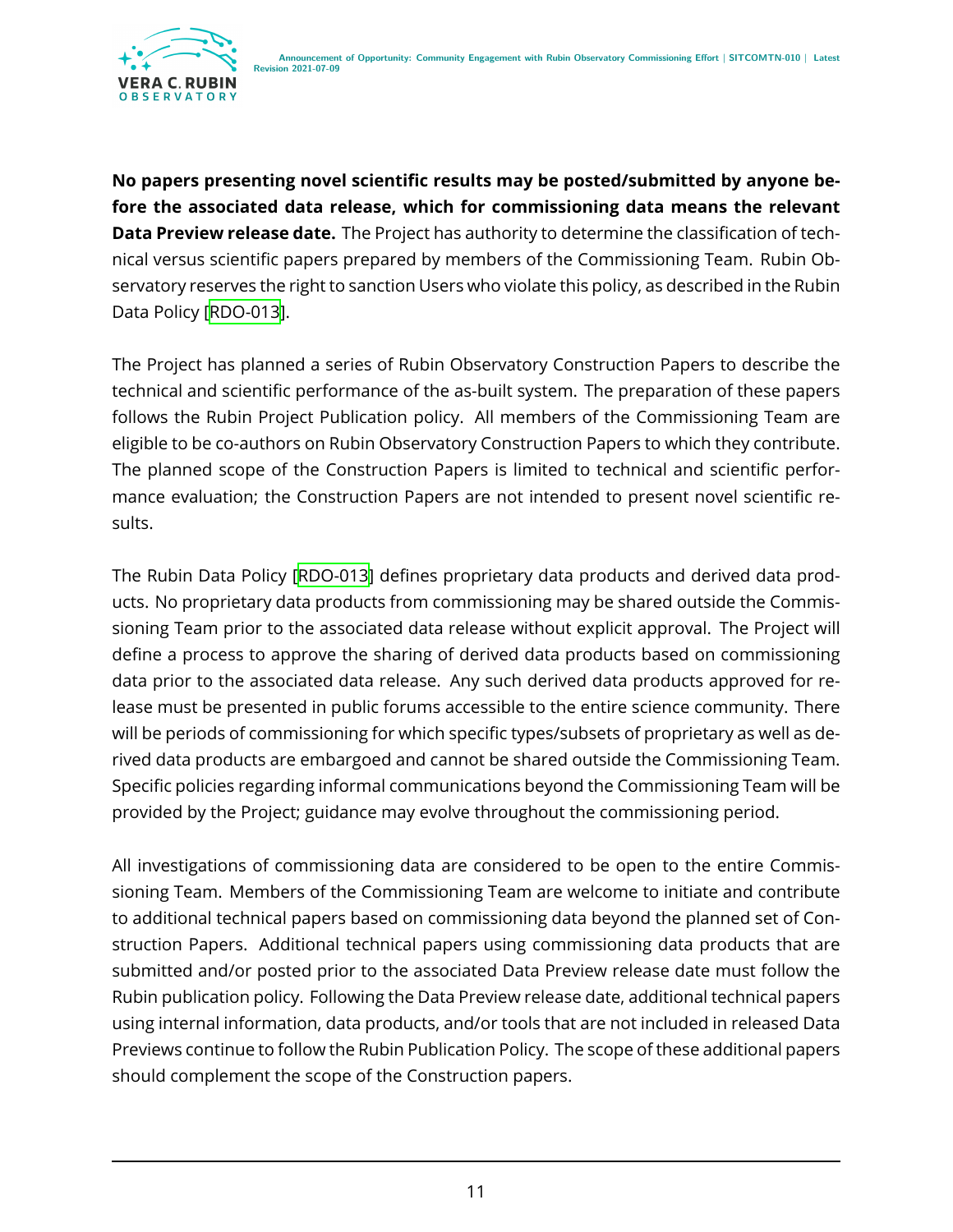

**No papers presenting novel scientific results may be posted/submitted by anyone before the associated data release, which for commissioning data means the relevant Data Preview release date.** The Project has authority to determine the classification of technical versus scientific papers prepared by members of the Commissioning Team. Rubin Observatory reserves the right to sanction Users who violate this policy, as described in the Rubin Data Policy[[RDO-013\]](#page-20-1).

The Project has planned a series of Rubin Observatory Construction Papers to describe the technical and scientific performance of the as-built system. The preparation of these papers follows the Rubin Project Publication policy. All members of the Commissioning Team are eligible to be co-authors on Rubin Observatory Construction Papers to which they contribute. The planned scope of the Construction Papers is limited to technical and scientific performance evaluation; the Construction Papers are not intended to present novel scientific results.

The Rubin Data Policy [\[RDO-013\]](#page-20-1) defines proprietary data products and derived data products. No proprietary data products from commissioning may be shared outside the Commissioning Team prior to the associated data release without explicit approval. The Project will define a process to approve the sharing of derived data products based on commissioning data prior to the associated data release. Any such derived data products approved for release must be presented in public forums accessible to the entire science community. There will be periods of commissioning for which specific types/subsets of proprietary as well as derived data products are embargoed and cannot be shared outside the Commissioning Team. Specific policies regarding informal communications beyond the Commissioning Team will be provided by the Project; guidance may evolve throughout the commissioning period.

All investigations of commissioning data are considered to be open to the entire Commissioning Team. Members of the Commissioning Team are welcome to initiate and contribute to additional technical papers based on commissioning data beyond the planned set of Construction Papers. Additional technical papers using commissioning data products that are submitted and/or posted prior to the associated Data Preview release date must follow the Rubin publication policy. Following the Data Preview release date, additional technical papers using internal information, data products, and/or tools that are not included in released Data Previews continue to follow the Rubin Publication Policy. The scope of these additional papers should complement the scope of the Construction papers.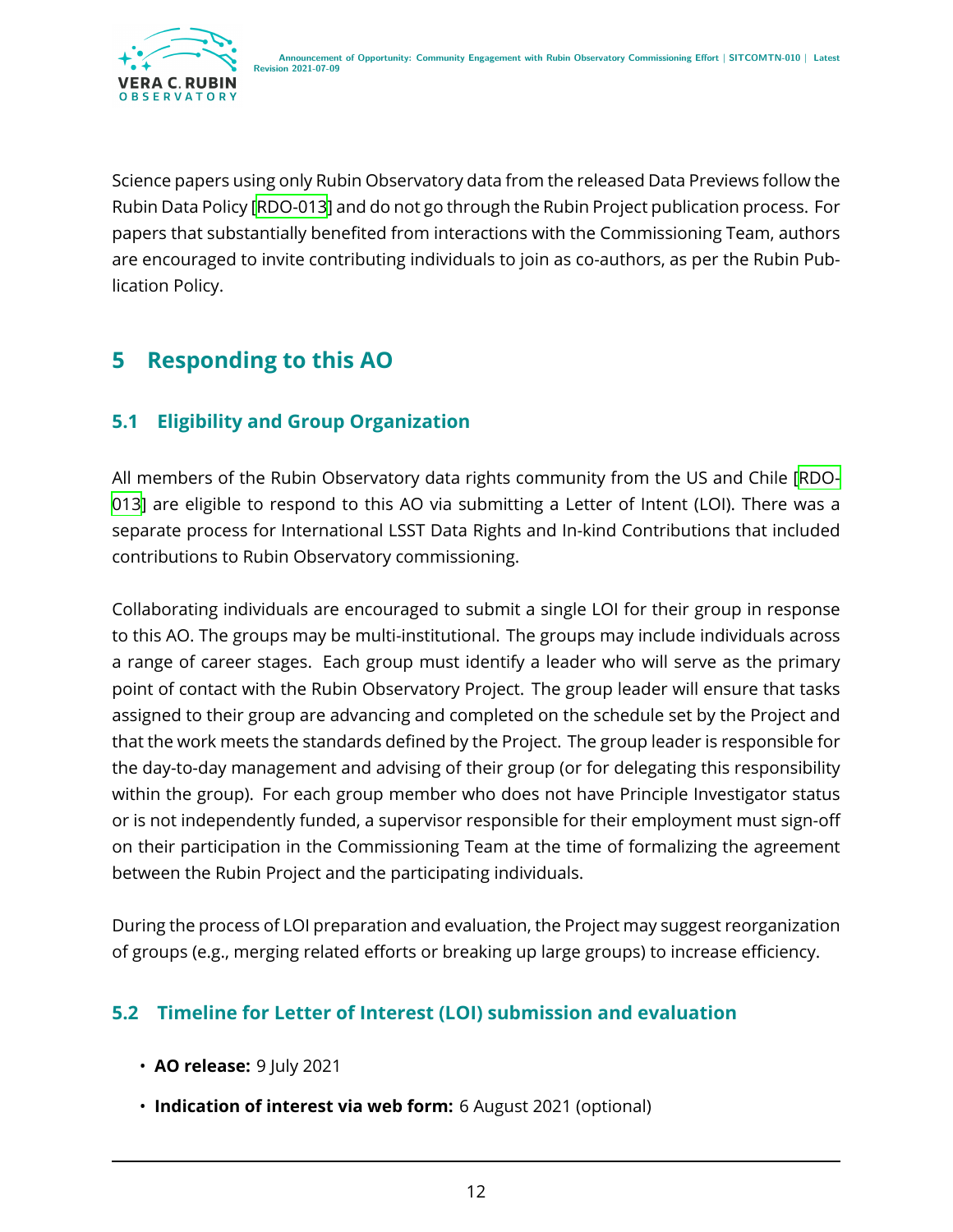

Science papers using only Rubin Observatory data from the released Data Previews follow the Rubin Data Policy[[RDO-013](#page-20-1)] and do not go through the Rubin Project publication process. For papers that substantially benefited from interactions with the Commissioning Team, authors are encouraged to invite contributing individuals to join as co-authors, as per the Rubin Publication Policy.

# <span id="page-15-0"></span>**5 Responding to this AO**

#### <span id="page-15-1"></span>**5.1 Eligibility and Group Organization**

All members of the Rubin Observatory data rights community from the US and Chile [\[RDO-](#page-20-1)[013\]](#page-20-1) are eligible to respond to this AO via submitting a Letter of Intent (LOI). There was a separate process for International LSST Data Rights and In-kind Contributions that included contributions to Rubin Observatory commissioning.

Collaborating individuals are encouraged to submit a single LOI for their group in response to this AO. The groups may be multi-institutional. The groups may include individuals across a range of career stages. Each group must identify a leader who will serve as the primary point of contact with the Rubin Observatory Project. The group leader will ensure that tasks assigned to their group are advancing and completed on the schedule set by the Project and that the work meets the standards defined by the Project. The group leader is responsible for the day-to-day management and advising of their group (or for delegating this responsibility within the group). For each group member who does not have Principle Investigator status or is not independently funded, a supervisor responsible for their employment must sign-off on their participation in the Commissioning Team at the time of formalizing the agreement between the Rubin Project and the participating individuals.

During the process of LOI preparation and evaluation, the Project may suggest reorganization of groups (e.g., merging related efforts or breaking up large groups) to increase efficiency.

#### <span id="page-15-2"></span>**5.2 Timeline for Letter of Interest (LOI) submission and evaluation**

- **AO release:** 9 July 2021
- **Indication of interest via web form:** 6 August 2021 (optional)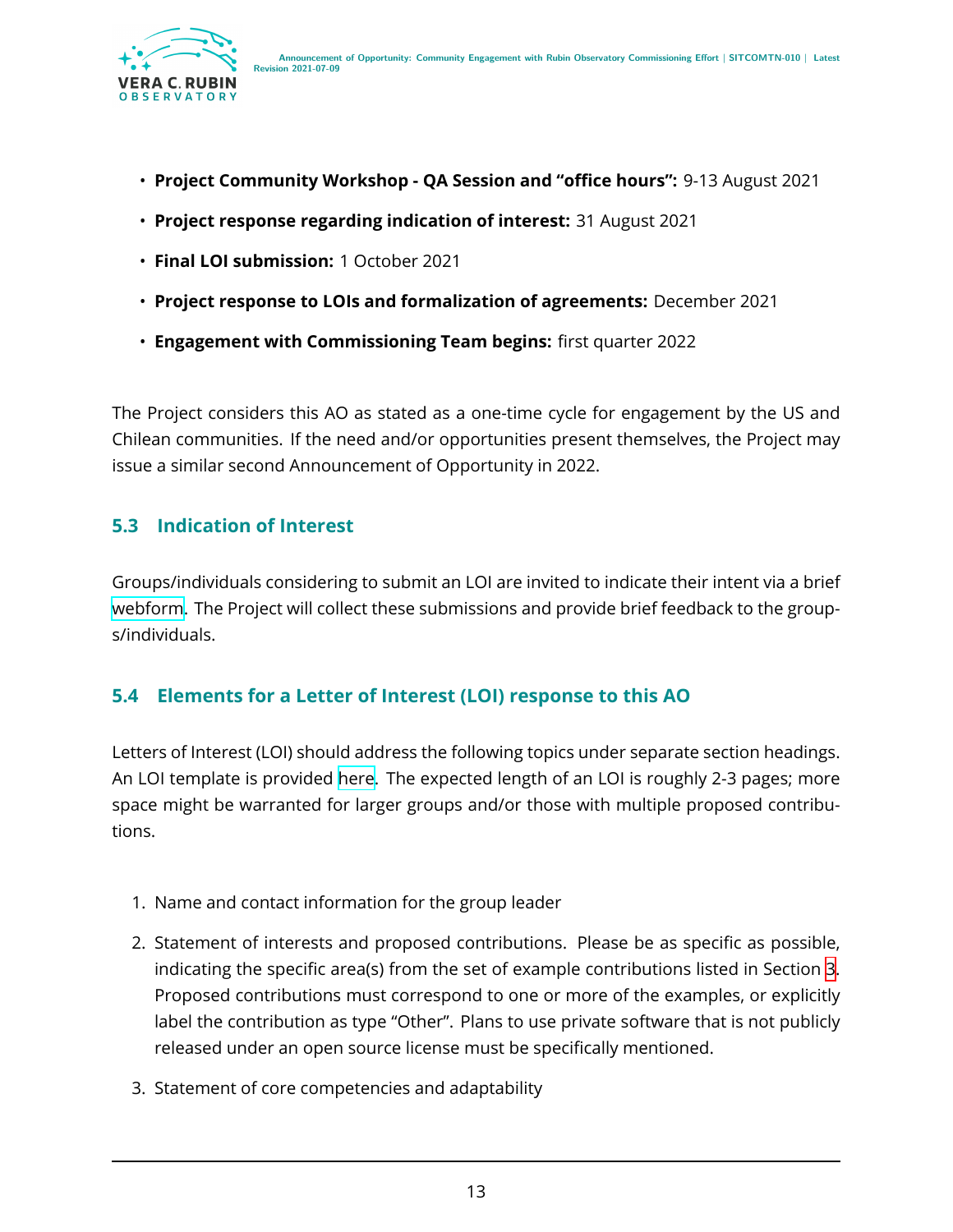

- **Project Community Workshop QA Session and "office hours":** 9-13 August 2021
- **Project response regarding indication of interest:** 31 August 2021
- **Final LOI submission:** 1 October 2021
- **Project response to LOIs and formalization of agreements:** December 2021
- **Engagement with Commissioning Team begins:** first quarter 2022

The Project considers this AO as stated as a one-time cycle for engagement by the US and Chilean communities. If the need and/or opportunities present themselves, the Project may issue a similar second Announcement of Opportunity in 2022.

#### <span id="page-16-0"></span>**5.3 Indication of Interest**

Groups/individuals considering to submit an LOI are invited to indicate their intent via a brief [webform](https://forms.gle/fu5WsRgEYewbSvs76). The Project will collect these submissions and provide brief feedback to the groups/individuals.

#### <span id="page-16-1"></span>**5.4 Elements for a Letter of Interest (LOI) response to this AO**

Letters of Interest (LOI) should address the following topics under separate section headings. An LOI template is provided [here.](https://docs.google.com/document/d/12mYS3H0xRZme2t0leGIHfzwNgh575QhqsVnoUz7ybqQ/edit?usp=sharing) The expected length of an LOI is roughly 2-3 pages; more space might be warranted for larger groups and/or those with multiple proposed contributions.

- 1. Name and contact information for the group leader
- 2. Statement of interests and proposed contributions. Please be as specific as possible, indicating the specific area(s) from the set of example contributions listed in Section [3](#page-5-0). Proposed contributions must correspond to one or more of the examples, or explicitly label the contribution as type "Other". Plans to use private software that is not publicly released under an open source license must be specifically mentioned.
- 3. Statement of core competencies and adaptability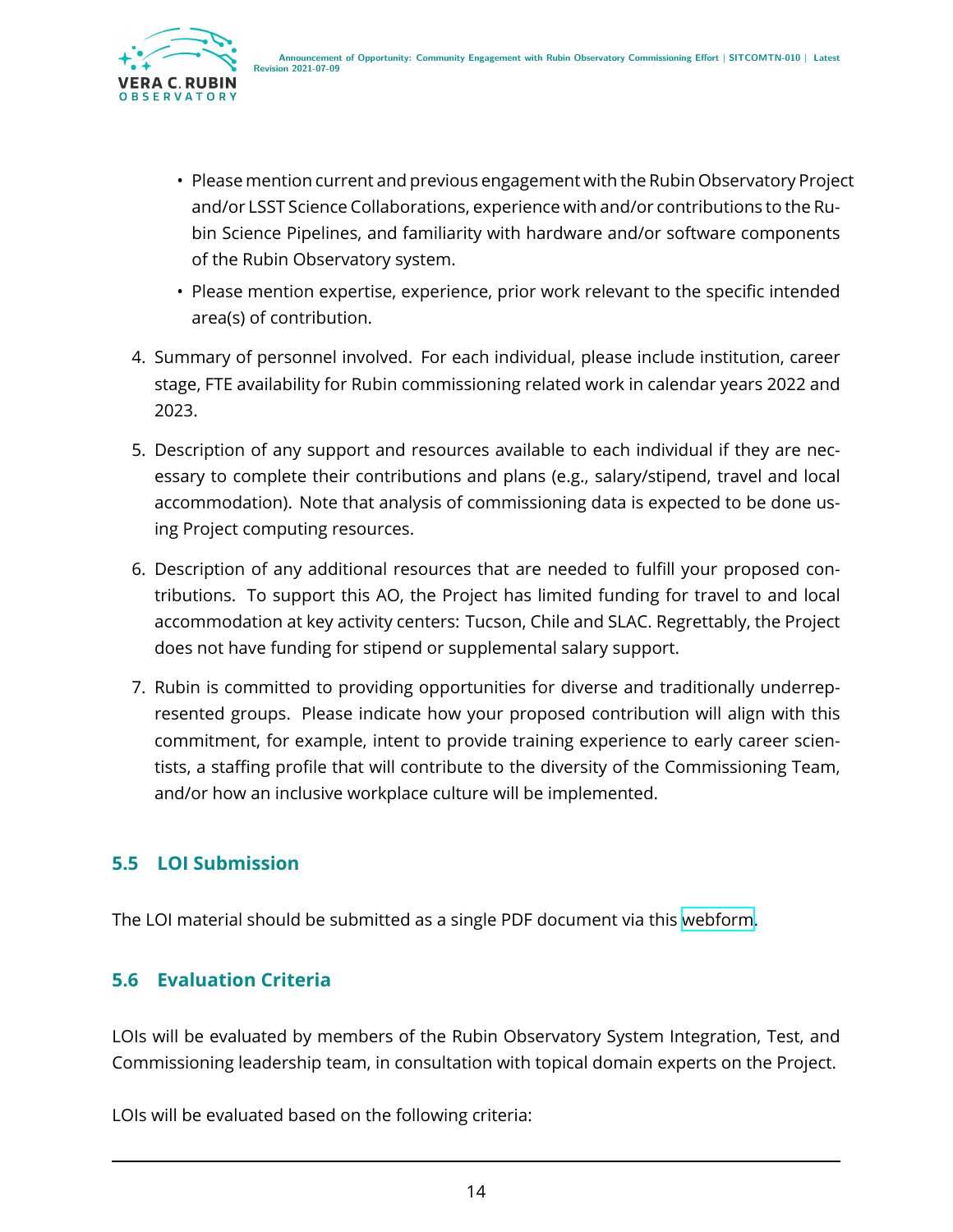

- Please mention current and previous engagement with the Rubin Observatory Project and/or LSST Science Collaborations, experience with and/or contributions to the Rubin Science Pipelines, and familiarity with hardware and/or software components of the Rubin Observatory system.
- Please mention expertise, experience, prior work relevant to the specific intended area(s) of contribution.
- 4. Summary of personnel involved. For each individual, please include institution, career stage, FTE availability for Rubin commissioning related work in calendar years 2022 and 2023.
- 5. Description of any support and resources available to each individual if they are necessary to complete their contributions and plans (e.g., salary/stipend, travel and local accommodation). Note that analysis of commissioning data is expected to be done using Project computing resources.
- 6. Description of any additional resources that are needed to fulfill your proposed contributions. To support this AO, the Project has limited funding for travel to and local accommodation at key activity centers: Tucson, Chile and SLAC. Regrettably, the Project does not have funding for stipend or supplemental salary support.
- 7. Rubin is committed to providing opportunities for diverse and traditionally underrepresented groups. Please indicate how your proposed contribution will align with this commitment, for example, intent to provide training experience to early career scientists, a staffing profile that will contribute to the diversity of the Commissioning Team, and/or how an inclusive workplace culture will be implemented.

#### <span id="page-17-0"></span>**5.5 LOI Submission**

<span id="page-17-1"></span>The LOI material should be submitted as a single PDF document via this [webform.](https://forms.gle/K6pKZDbS19gqhG2H6)

#### **5.6 Evaluation Criteria**

LOIs will be evaluated by members of the Rubin Observatory System Integration, Test, and Commissioning leadership team, in consultation with topical domain experts on the Project.

LOIs will be evaluated based on the following criteria: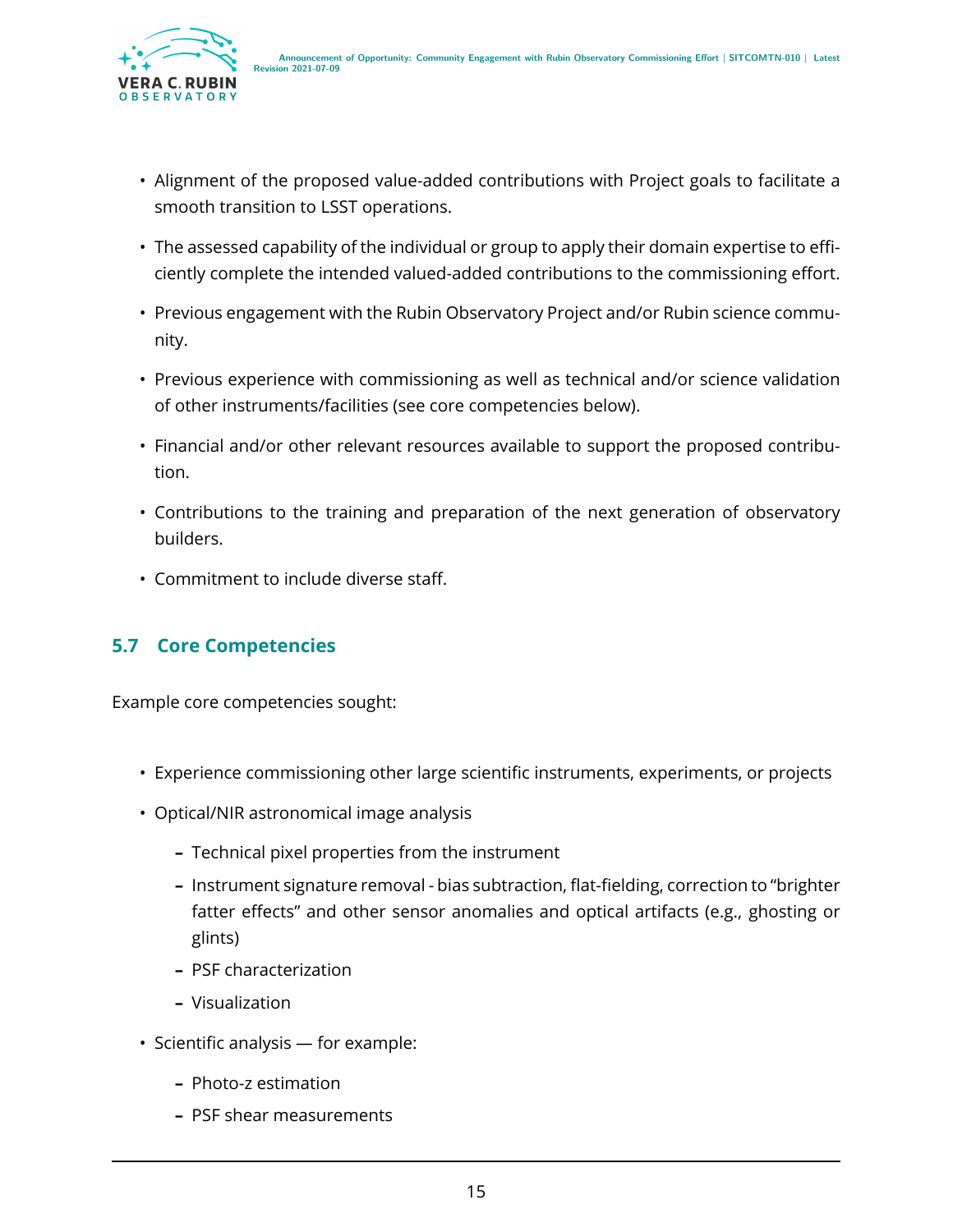

- Alignment of the proposed value-added contributions with Project goals to facilitate a smooth transition to LSST operations.
- The assessed capability of the individual or group to apply their domain expertise to efficiently complete the intended valued-added contributions to the commissioning effort.
- Previous engagement with the Rubin Observatory Project and/or Rubin science community.
- Previous experience with commissioning as well as technical and/or science validation of other instruments/facilities (see core competencies below).
- Financial and/or other relevant resources available to support the proposed contribution.
- Contributions to the training and preparation of the next generation of observatory builders.
- Commitment to include diverse staff.

#### <span id="page-18-0"></span>**5.7 Core Competencies**

Example core competencies sought:

- Experience commissioning other large scientific instruments, experiments, or projects
- Optical/NIR astronomical image analysis
	- **–** Technical pixel properties from the instrument
	- **–** Instrument signature removal bias subtraction, flat-fielding, correction to "brighter fatter effects" and other sensor anomalies and optical artifacts (e.g., ghosting or glints)
	- **–** PSF characterization
	- **–** Visualization
- Scientific analysis for example:
	- **–** Photo-z estimation
	- **–** PSF shear measurements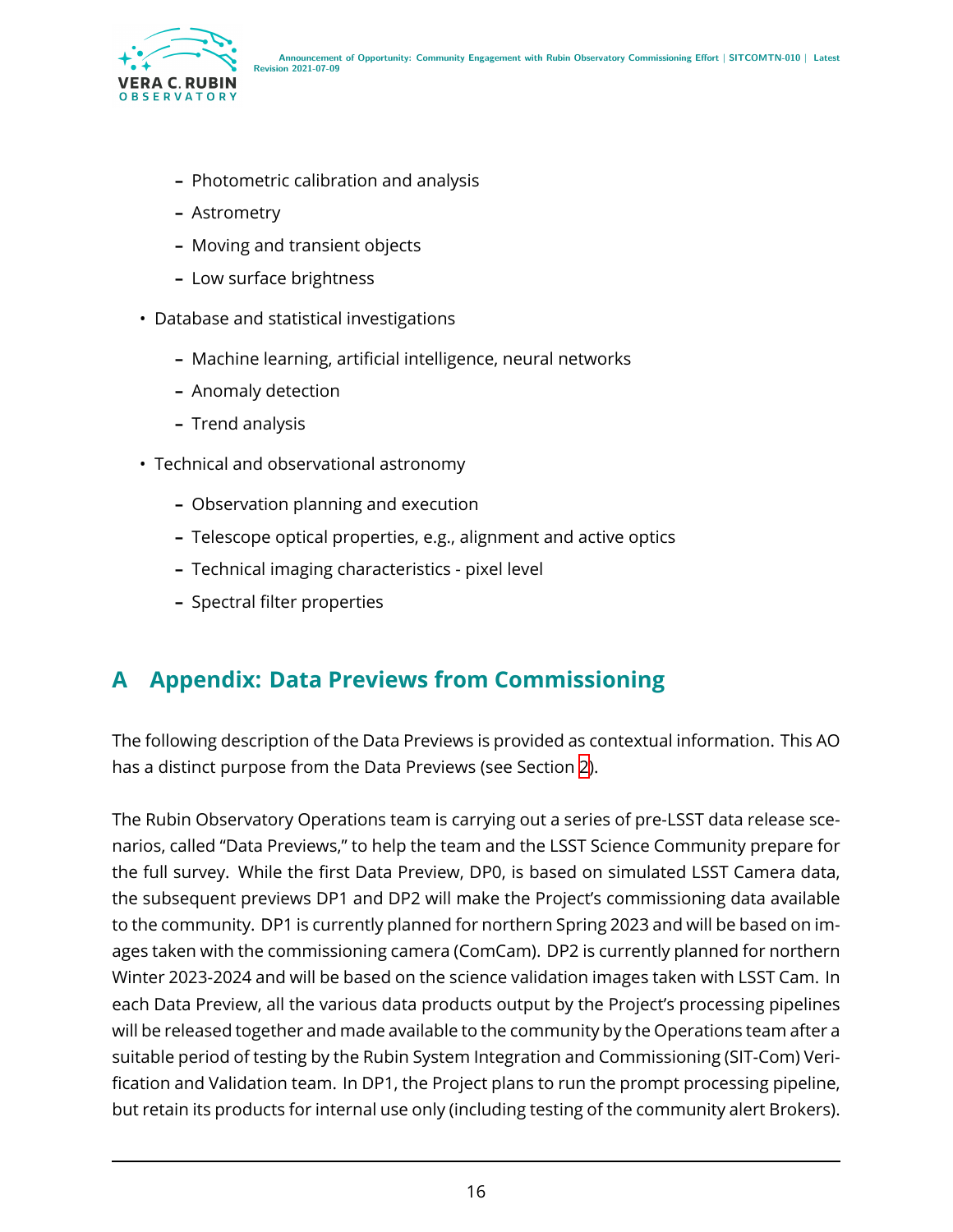

- **–** Photometric calibration and analysis
- **–** Astrometry
- **–** Moving and transient objects
- **–** Low surface brightness
- Database and statistical investigations
	- **–** Machine learning, artificial intelligence, neural networks
	- **–** Anomaly detection
	- **–** Trend analysis
- Technical and observational astronomy
	- **–** Observation planning and execution
	- **–** Telescope optical properties, e.g., alignment and active optics
	- **–** Technical imaging characteristics pixel level
	- **–** Spectral filter properties

### <span id="page-19-0"></span>**A Appendix: Data Previews from Commissioning**

The following description of the Data Previews is provided as contextual information. This AO has a distinct purpose from the Data Previews (see Section [2\)](#page-4-1).

The Rubin Observatory Operations team is carrying out a series of pre-LSST data release scenarios, called "Data Previews," to help the team and the LSST Science Community prepare for the full survey. While the first Data Preview, DP0, is based on simulated LSST Camera data, the subsequent previews DP1 and DP2 will make the Project's commissioning data available to the community. DP1 is currently planned for northern Spring 2023 and will be based on images taken with the commissioning camera (ComCam). DP2 is currently planned for northern Winter 2023-2024 and will be based on the science validation images taken with LSST Cam. In each Data Preview, all the various data products output by the Project's processing pipelines will be released together and made available to the community by the Operations team after a suitable period of testing by the Rubin System Integration and Commissioning (SIT-Com) Verification and Validation team. In DP1, the Project plans to run the prompt processing pipeline, but retain its products for internal use only (including testing of the community alert Brokers).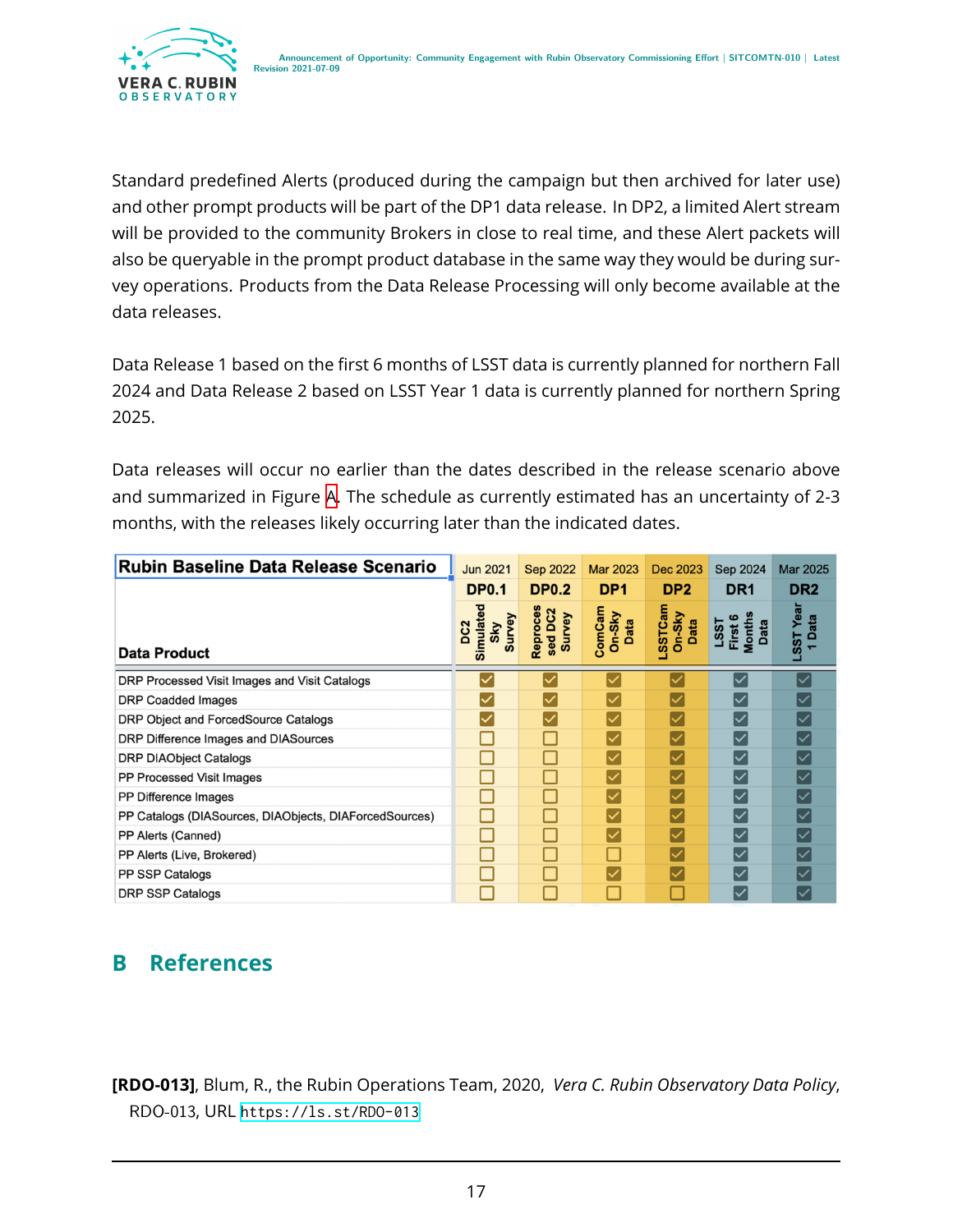

Standard predefined Alerts (produced during the campaign but then archived for later use) and other prompt products will be part of the DP1 data release. In DP2, a limited Alert stream will be provided to the community Brokers in close to real time, and these Alert packets will also be queryable in the prompt product database in the same way they would be during survey operations. Products from the Data Release Processing will only become available at the data releases.

Data Release 1 based on the first 6 months of LSST data is currently planned for northern Fall 2024 and Data Release 2 based on LSST Year 1 data is currently planned for northern Spring 2025.

Data releases will occur no earlier than the dates described in the release scenario above and summarized in Figure [A](#page-19-0). The schedule as currently estimated has an uncertainty of 2-3 months, with the releases likely occurring later than the indicated dates.

| <b>Rubin Baseline Data Release Scenario</b>            | <b>Jun 2021</b>                               | Sep 2022                      | Mar 2023                   | Dec 2023                           | Sep 2024                                 | Mar 2025           |
|--------------------------------------------------------|-----------------------------------------------|-------------------------------|----------------------------|------------------------------------|------------------------------------------|--------------------|
|                                                        | <b>DP0.1</b>                                  | <b>DP0.2</b>                  | DP <sub>1</sub>            | DP <sub>2</sub>                    | DR <sub>1</sub>                          | DR <sub>2</sub>    |
| <b>Data Product</b>                                    | Simulated<br>Survey<br>DC <sub>2</sub><br>Sky | Reproces<br>sed DC2<br>Survey | ComCam<br>$On-Sky$<br>Data | <b>LSSTCam</b><br>$On-Sky$<br>Data | <b>Months</b><br>LSST<br>First 6<br>Data | Yea<br>Data<br>SST |
| DRP Processed Visit Images and Visit Catalogs          |                                               |                               |                            |                                    | $\checkmark$                             |                    |
| <b>DRP Coadded Images</b>                              |                                               |                               |                            |                                    | $\overline{\check{}}$                    |                    |
| DRP Object and ForcedSource Catalogs                   |                                               |                               |                            |                                    | $\overline{\check{}}$                    |                    |
| DRP Difference Images and DIASources                   |                                               |                               |                            |                                    | $\overline{\check{}}$                    |                    |
| <b>DRP DIAObject Catalogs</b>                          |                                               |                               |                            |                                    | $\overline{\checkmark}$                  |                    |
| PP Processed Visit Images                              |                                               |                               |                            |                                    | $\overline{\check{}}$                    |                    |
| PP Difference Images                                   |                                               |                               |                            |                                    | $\overline{\check{}}$                    |                    |
| PP Catalogs (DIASources, DIAObjects, DIAForcedSources) |                                               |                               |                            |                                    | $\overline{\check{}}$                    |                    |
| PP Alerts (Canned)                                     |                                               |                               |                            |                                    | ∣✓                                       |                    |
| PP Alerts (Live, Brokered)                             |                                               |                               |                            |                                    | $\overline{\check{}}$                    |                    |
| PP SSP Catalogs                                        |                                               |                               |                            |                                    | $\overline{\check{}}$                    |                    |
| <b>DRP SSP Catalogs</b>                                |                                               |                               |                            |                                    | $\overline{\check{}}$                    |                    |

# <span id="page-20-0"></span>**B References**

<span id="page-20-1"></span>**[RDO-013]**, Blum, R., the Rubin Operations Team, 2020, *Vera C. Rubin Observatory Data Policy*, RDO-013, URL <https://ls.st/RDO-013>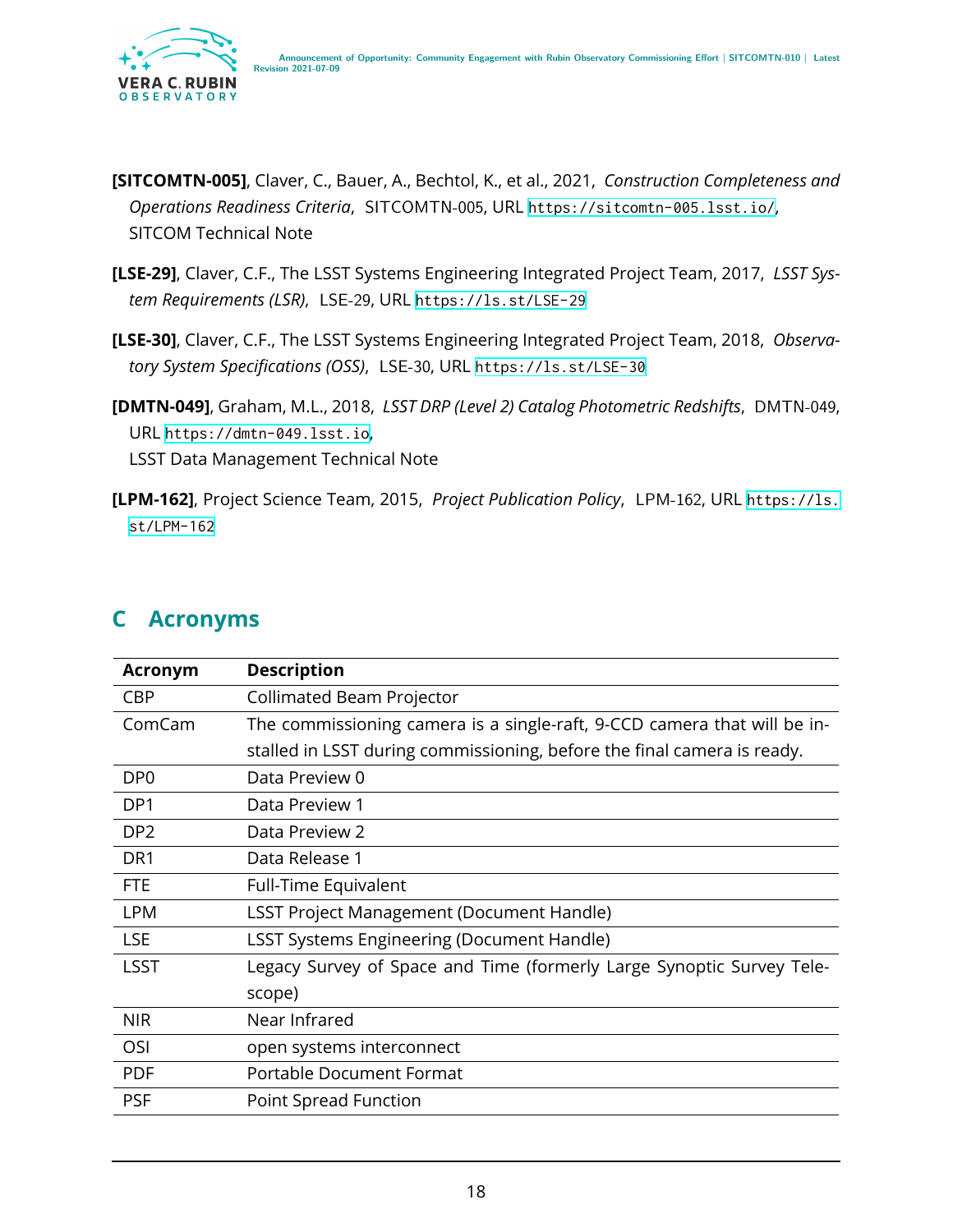

- <span id="page-21-3"></span>**[SITCOMTN-005]**, Claver, C., Bauer, A., Bechtol, K., et al., 2021, *Construction Completeness and Operations Readiness Criteria*, SITCOMTN-005, URL <https://sitcomtn-005.lsst.io/>, SITCOM Technical Note
- <span id="page-21-1"></span>**[LSE-29]**, Claver, C.F., The LSST Systems Engineering Integrated Project Team, 2017, *LSST System Requirements (LSR)*, LSE-29, URL <https://ls.st/LSE-29>
- <span id="page-21-2"></span>**[LSE-30]**, Claver, C.F., The LSST Systems Engineering Integrated Project Team, 2018, *Observatory System Specifications (OSS)*, LSE-30, URL <https://ls.st/LSE-30>
- <span id="page-21-4"></span>**[DMTN-049]**, Graham, M.L., 2018, *LSST DRP (Level 2) Catalog Photometric Redshifts*, DMTN-049, URL <https://dmtn-049.lsst.io>, LSST Data Management Technical Note
- <span id="page-21-5"></span>**[LPM-162]**, Project Science Team, 2015, *Project Publication Policy*, LPM-162, URL [https://ls.](https://ls.st/LPM-162) [st/LPM-162](https://ls.st/LPM-162)

<span id="page-21-0"></span>

| $\mathsf{C}^-$ | <b>Acronyms</b> |
|----------------|-----------------|
|----------------|-----------------|

| <b>Acronym</b>  | <b>Description</b>                                                       |
|-----------------|--------------------------------------------------------------------------|
| <b>CBP</b>      | Collimated Beam Projector                                                |
| ComCam          | The commissioning camera is a single-raft, 9-CCD camera that will be in- |
|                 | stalled in LSST during commissioning, before the final camera is ready.  |
| DP <sub>0</sub> | Data Preview 0                                                           |
| DP <sub>1</sub> | Data Preview 1                                                           |
| DP <sub>2</sub> | Data Preview 2                                                           |
| DR <sub>1</sub> | Data Release 1                                                           |
| <b>FTE</b>      | Full-Time Equivalent                                                     |
| <b>LPM</b>      | <b>LSST Project Management (Document Handle)</b>                         |
| <b>LSE</b>      | <b>LSST Systems Engineering (Document Handle)</b>                        |
| <b>LSST</b>     | Legacy Survey of Space and Time (formerly Large Synoptic Survey Tele-    |
|                 | scope)                                                                   |
| <b>NIR</b>      | Near Infrared                                                            |
| OSI             | open systems interconnect                                                |
| <b>PDF</b>      | Portable Document Format                                                 |
| <b>PSF</b>      | Point Spread Function                                                    |